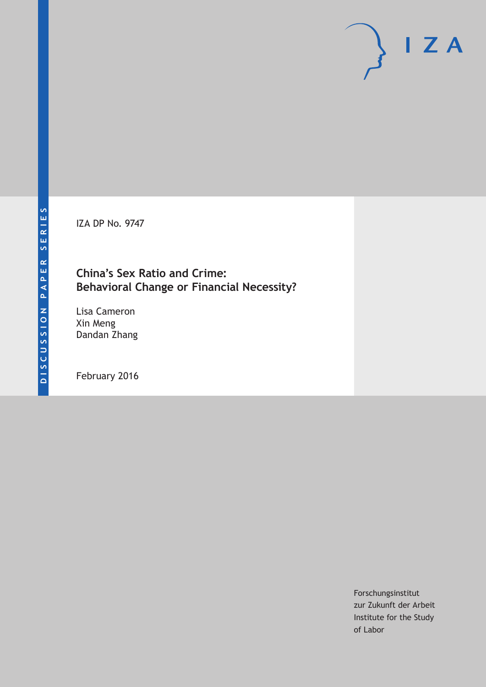IZA DP No. 9747

## **China's Sex Ratio and Crime: Behavioral Change or Financial Necessity?**

Lisa Cameron Xin Meng Dandan Zhang

February 2016

Forschungsinstitut zur Zukunft der Arbeit Institute for the Study of Labor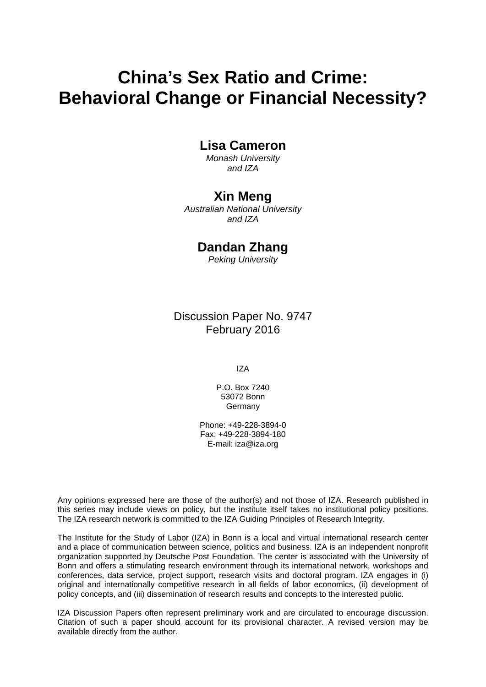# **China's Sex Ratio and Crime: Behavioral Change or Financial Necessity?**

### **Lisa Cameron**

*Monash University and IZA* 

### **Xin Meng**

*Australian National University and IZA* 

## **Dandan Zhang**

*Peking University*

Discussion Paper No. 9747 February 2016

IZA

P.O. Box 7240 53072 Bonn **Germany** 

Phone: +49-228-3894-0 Fax: +49-228-3894-180 E-mail: iza@iza.org

Any opinions expressed here are those of the author(s) and not those of IZA. Research published in this series may include views on policy, but the institute itself takes no institutional policy positions. The IZA research network is committed to the IZA Guiding Principles of Research Integrity.

The Institute for the Study of Labor (IZA) in Bonn is a local and virtual international research center and a place of communication between science, politics and business. IZA is an independent nonprofit organization supported by Deutsche Post Foundation. The center is associated with the University of Bonn and offers a stimulating research environment through its international network, workshops and conferences, data service, project support, research visits and doctoral program. IZA engages in (i) original and internationally competitive research in all fields of labor economics, (ii) development of policy concepts, and (iii) dissemination of research results and concepts to the interested public.

IZA Discussion Papers often represent preliminary work and are circulated to encourage discussion. Citation of such a paper should account for its provisional character. A revised version may be available directly from the author.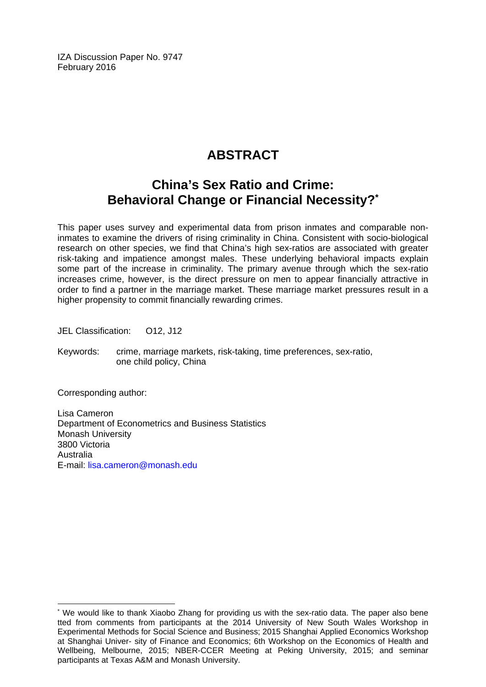IZA Discussion Paper No. 9747 February 2016

## **ABSTRACT**

## **China's Sex Ratio and Crime: Behavioral Change or Financial Necessity?\***

This paper uses survey and experimental data from prison inmates and comparable noninmates to examine the drivers of rising criminality in China. Consistent with socio-biological research on other species, we find that China's high sex-ratios are associated with greater risk-taking and impatience amongst males. These underlying behavioral impacts explain some part of the increase in criminality. The primary avenue through which the sex-ratio increases crime, however, is the direct pressure on men to appear financially attractive in order to find a partner in the marriage market. These marriage market pressures result in a higher propensity to commit financially rewarding crimes.

JEL Classification: O12, J12

Keywords: crime, marriage markets, risk-taking, time preferences, sex-ratio, one child policy, China

Corresponding author:

 $\overline{a}$ 

Lisa Cameron Department of Econometrics and Business Statistics Monash University 3800 Victoria Australia E-mail: lisa.cameron@monash.edu

<sup>\*</sup> We would like to thank Xiaobo Zhang for providing us with the sex-ratio data. The paper also bene tted from comments from participants at the 2014 University of New South Wales Workshop in Experimental Methods for Social Science and Business; 2015 Shanghai Applied Economics Workshop at Shanghai Univer- sity of Finance and Economics; 6th Workshop on the Economics of Health and Wellbeing, Melbourne, 2015; NBER-CCER Meeting at Peking University, 2015; and seminar participants at Texas A&M and Monash University.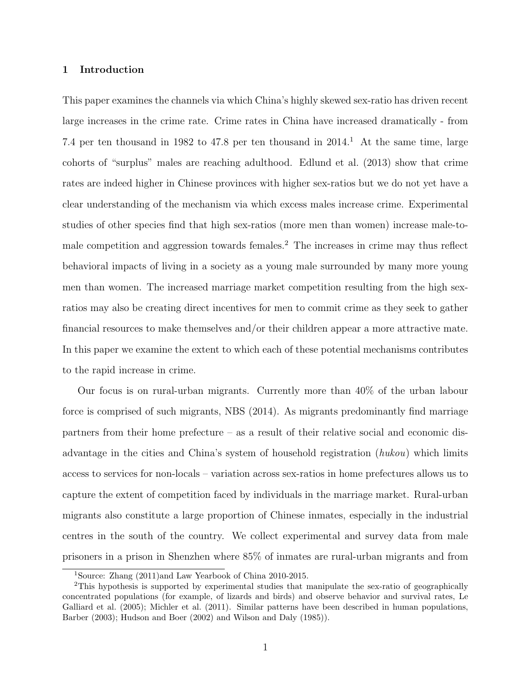#### 1 Introduction

This paper examines the channels via which China's highly skewed sex-ratio has driven recent large increases in the crime rate. Crime rates in China have increased dramatically - from 7.4 per ten thousand in 1982 to 47.8 per ten thousand in  $2014<sup>1</sup>$  At the same time, large cohorts of "surplus" males are reaching adulthood. Edlund et al. (2013) show that crime rates are indeed higher in Chinese provinces with higher sex-ratios but we do not yet have a clear understanding of the mechanism via which excess males increase crime. Experimental studies of other species find that high sex-ratios (more men than women) increase male-tomale competition and aggression towards females.<sup>2</sup> The increases in crime may thus reflect behavioral impacts of living in a society as a young male surrounded by many more young men than women. The increased marriage market competition resulting from the high sexratios may also be creating direct incentives for men to commit crime as they seek to gather financial resources to make themselves and/or their children appear a more attractive mate. In this paper we examine the extent to which each of these potential mechanisms contributes to the rapid increase in crime.

Our focus is on rural-urban migrants. Currently more than 40% of the urban labour force is comprised of such migrants, NBS (2014). As migrants predominantly find marriage partners from their home prefecture – as a result of their relative social and economic disadvantage in the cities and China's system of household registration (hukou) which limits access to services for non-locals – variation across sex-ratios in home prefectures allows us to capture the extent of competition faced by individuals in the marriage market. Rural-urban migrants also constitute a large proportion of Chinese inmates, especially in the industrial centres in the south of the country. We collect experimental and survey data from male prisoners in a prison in Shenzhen where 85% of inmates are rural-urban migrants and from

<sup>1</sup>Source: Zhang (2011)and Law Yearbook of China 2010-2015.

<sup>2</sup>This hypothesis is supported by experimental studies that manipulate the sex-ratio of geographically concentrated populations (for example, of lizards and birds) and observe behavior and survival rates, Le Galliard et al. (2005); Michler et al. (2011). Similar patterns have been described in human populations, Barber (2003); Hudson and Boer (2002) and Wilson and Daly (1985)).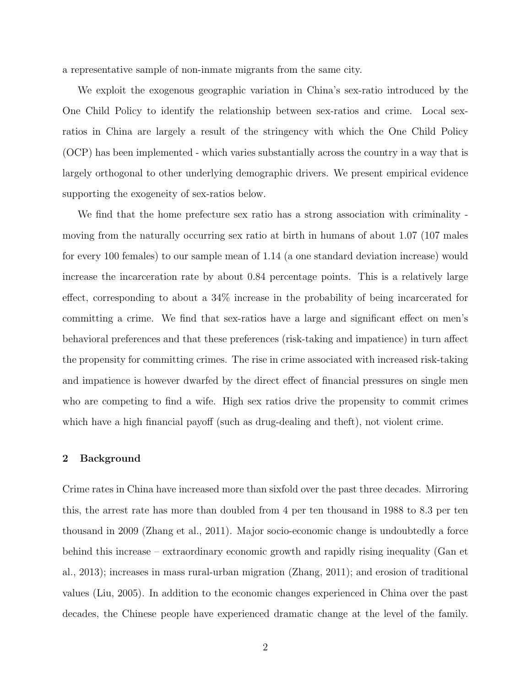a representative sample of non-inmate migrants from the same city.

We exploit the exogenous geographic variation in China's sex-ratio introduced by the One Child Policy to identify the relationship between sex-ratios and crime. Local sexratios in China are largely a result of the stringency with which the One Child Policy (OCP) has been implemented - which varies substantially across the country in a way that is largely orthogonal to other underlying demographic drivers. We present empirical evidence supporting the exogeneity of sex-ratios below.

We find that the home prefecture sex ratio has a strong association with criminality moving from the naturally occurring sex ratio at birth in humans of about 1.07 (107 males for every 100 females) to our sample mean of 1.14 (a one standard deviation increase) would increase the incarceration rate by about 0.84 percentage points. This is a relatively large effect, corresponding to about a 34% increase in the probability of being incarcerated for committing a crime. We find that sex-ratios have a large and significant effect on men's behavioral preferences and that these preferences (risk-taking and impatience) in turn affect the propensity for committing crimes. The rise in crime associated with increased risk-taking and impatience is however dwarfed by the direct effect of financial pressures on single men who are competing to find a wife. High sex ratios drive the propensity to commit crimes which have a high financial payoff (such as drug-dealing and theft), not violent crime.

#### 2 Background

Crime rates in China have increased more than sixfold over the past three decades. Mirroring this, the arrest rate has more than doubled from 4 per ten thousand in 1988 to 8.3 per ten thousand in 2009 (Zhang et al., 2011). Major socio-economic change is undoubtedly a force behind this increase – extraordinary economic growth and rapidly rising inequality (Gan et al., 2013); increases in mass rural-urban migration (Zhang, 2011); and erosion of traditional values (Liu, 2005). In addition to the economic changes experienced in China over the past decades, the Chinese people have experienced dramatic change at the level of the family.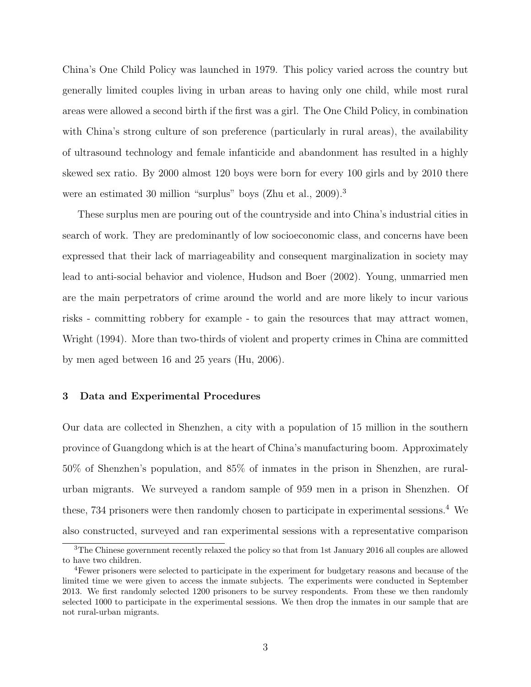China's One Child Policy was launched in 1979. This policy varied across the country but generally limited couples living in urban areas to having only one child, while most rural areas were allowed a second birth if the first was a girl. The One Child Policy, in combination with China's strong culture of son preference (particularly in rural areas), the availability of ultrasound technology and female infanticide and abandonment has resulted in a highly skewed sex ratio. By 2000 almost 120 boys were born for every 100 girls and by 2010 there were an estimated 30 million "surplus" boys (Zhu et al., 2009).<sup>3</sup>

These surplus men are pouring out of the countryside and into China's industrial cities in search of work. They are predominantly of low socioeconomic class, and concerns have been expressed that their lack of marriageability and consequent marginalization in society may lead to anti-social behavior and violence, Hudson and Boer (2002). Young, unmarried men are the main perpetrators of crime around the world and are more likely to incur various risks - committing robbery for example - to gain the resources that may attract women, Wright (1994). More than two-thirds of violent and property crimes in China are committed by men aged between 16 and 25 years (Hu, 2006).

#### 3 Data and Experimental Procedures

Our data are collected in Shenzhen, a city with a population of 15 million in the southern province of Guangdong which is at the heart of China's manufacturing boom. Approximately 50% of Shenzhen's population, and 85% of inmates in the prison in Shenzhen, are ruralurban migrants. We surveyed a random sample of 959 men in a prison in Shenzhen. Of these, 734 prisoners were then randomly chosen to participate in experimental sessions.<sup>4</sup> We also constructed, surveyed and ran experimental sessions with a representative comparison

<sup>&</sup>lt;sup>3</sup>The Chinese government recently relaxed the policy so that from 1st January 2016 all couples are allowed to have two children.

<sup>4</sup>Fewer prisoners were selected to participate in the experiment for budgetary reasons and because of the limited time we were given to access the inmate subjects. The experiments were conducted in September 2013. We first randomly selected 1200 prisoners to be survey respondents. From these we then randomly selected 1000 to participate in the experimental sessions. We then drop the inmates in our sample that are not rural-urban migrants.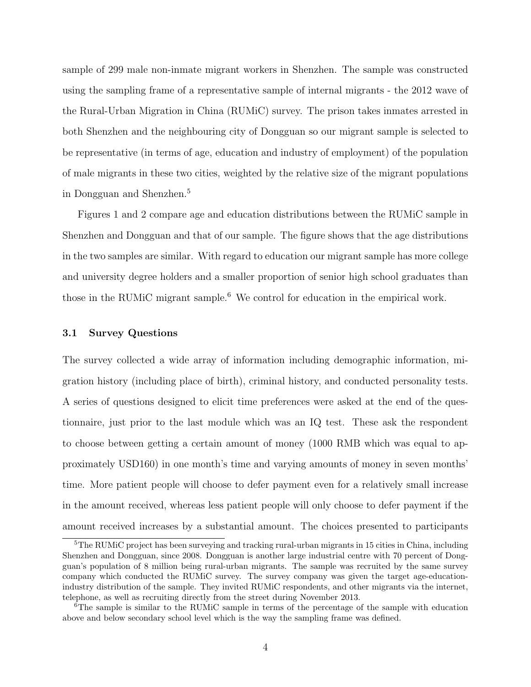sample of 299 male non-inmate migrant workers in Shenzhen. The sample was constructed using the sampling frame of a representative sample of internal migrants - the 2012 wave of the Rural-Urban Migration in China (RUMiC) survey. The prison takes inmates arrested in both Shenzhen and the neighbouring city of Dongguan so our migrant sample is selected to be representative (in terms of age, education and industry of employment) of the population of male migrants in these two cities, weighted by the relative size of the migrant populations in Dongguan and Shenzhen.<sup>5</sup>

Figures 1 and 2 compare age and education distributions between the RUMiC sample in Shenzhen and Dongguan and that of our sample. The figure shows that the age distributions in the two samples are similar. With regard to education our migrant sample has more college and university degree holders and a smaller proportion of senior high school graduates than those in the RUMiC migrant sample.<sup>6</sup> We control for education in the empirical work.

#### 3.1 Survey Questions

The survey collected a wide array of information including demographic information, migration history (including place of birth), criminal history, and conducted personality tests. A series of questions designed to elicit time preferences were asked at the end of the questionnaire, just prior to the last module which was an IQ test. These ask the respondent to choose between getting a certain amount of money (1000 RMB which was equal to approximately USD160) in one month's time and varying amounts of money in seven months' time. More patient people will choose to defer payment even for a relatively small increase in the amount received, whereas less patient people will only choose to defer payment if the amount received increases by a substantial amount. The choices presented to participants

 ${}^{5}$ The RUMiC project has been surveying and tracking rural-urban migrants in 15 cities in China, including Shenzhen and Dongguan, since 2008. Dongguan is another large industrial centre with 70 percent of Dongguan's population of 8 million being rural-urban migrants. The sample was recruited by the same survey company which conducted the RUMiC survey. The survey company was given the target age-educationindustry distribution of the sample. They invited RUMiC respondents, and other migrants via the internet, telephone, as well as recruiting directly from the street during November 2013.

 $6$ The sample is similar to the RUMIC sample in terms of the percentage of the sample with education above and below secondary school level which is the way the sampling frame was defined.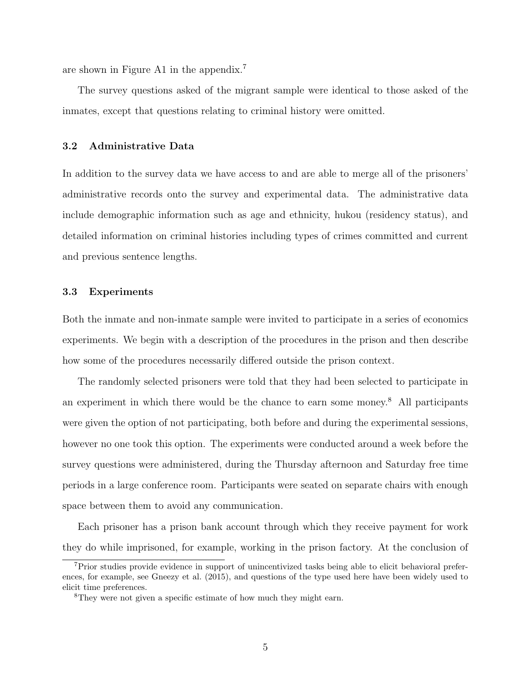are shown in Figure A1 in the appendix.<sup>7</sup>

The survey questions asked of the migrant sample were identical to those asked of the inmates, except that questions relating to criminal history were omitted.

#### 3.2 Administrative Data

In addition to the survey data we have access to and are able to merge all of the prisoners' administrative records onto the survey and experimental data. The administrative data include demographic information such as age and ethnicity, hukou (residency status), and detailed information on criminal histories including types of crimes committed and current and previous sentence lengths.

#### 3.3 Experiments

Both the inmate and non-inmate sample were invited to participate in a series of economics experiments. We begin with a description of the procedures in the prison and then describe how some of the procedures necessarily differed outside the prison context.

The randomly selected prisoners were told that they had been selected to participate in an experiment in which there would be the chance to earn some money.<sup>8</sup> All participants were given the option of not participating, both before and during the experimental sessions, however no one took this option. The experiments were conducted around a week before the survey questions were administered, during the Thursday afternoon and Saturday free time periods in a large conference room. Participants were seated on separate chairs with enough space between them to avoid any communication.

Each prisoner has a prison bank account through which they receive payment for work they do while imprisoned, for example, working in the prison factory. At the conclusion of

<sup>7</sup>Prior studies provide evidence in support of unincentivized tasks being able to elicit behavioral preferences, for example, see Gneezy et al. (2015), and questions of the type used here have been widely used to elicit time preferences.

<sup>&</sup>lt;sup>8</sup>They were not given a specific estimate of how much they might earn.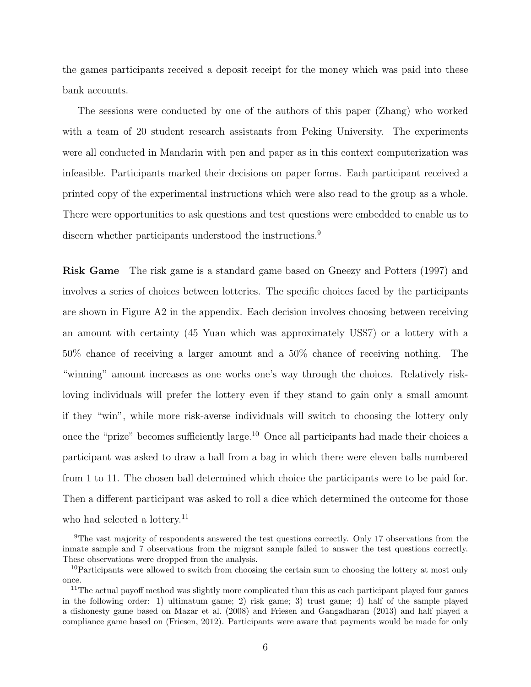the games participants received a deposit receipt for the money which was paid into these bank accounts.

The sessions were conducted by one of the authors of this paper (Zhang) who worked with a team of 20 student research assistants from Peking University. The experiments were all conducted in Mandarin with pen and paper as in this context computerization was infeasible. Participants marked their decisions on paper forms. Each participant received a printed copy of the experimental instructions which were also read to the group as a whole. There were opportunities to ask questions and test questions were embedded to enable us to discern whether participants understood the instructions.<sup>9</sup>

Risk Game The risk game is a standard game based on Gneezy and Potters (1997) and involves a series of choices between lotteries. The specific choices faced by the participants are shown in Figure A2 in the appendix. Each decision involves choosing between receiving an amount with certainty (45 Yuan which was approximately US\$7) or a lottery with a 50% chance of receiving a larger amount and a 50% chance of receiving nothing. The "winning" amount increases as one works one's way through the choices. Relatively riskloving individuals will prefer the lottery even if they stand to gain only a small amount if they "win", while more risk-averse individuals will switch to choosing the lottery only once the "prize" becomes sufficiently large.<sup>10</sup> Once all participants had made their choices a participant was asked to draw a ball from a bag in which there were eleven balls numbered from 1 to 11. The chosen ball determined which choice the participants were to be paid for. Then a different participant was asked to roll a dice which determined the outcome for those who had selected a lottery.<sup>11</sup>

<sup>&</sup>lt;sup>9</sup>The vast majority of respondents answered the test questions correctly. Only 17 observations from the inmate sample and 7 observations from the migrant sample failed to answer the test questions correctly. These observations were dropped from the analysis.

<sup>&</sup>lt;sup>10</sup>Participants were allowed to switch from choosing the certain sum to choosing the lottery at most only once.

 $11$ The actual payoff method was slightly more complicated than this as each participant played four games in the following order: 1) ultimatum game; 2) risk game; 3) trust game; 4) half of the sample played a dishonesty game based on Mazar et al. (2008) and Friesen and Gangadharan (2013) and half played a compliance game based on (Friesen, 2012). Participants were aware that payments would be made for only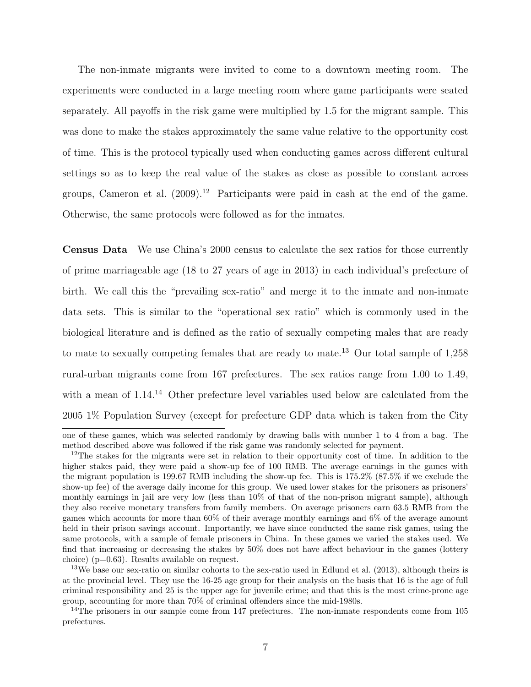The non-inmate migrants were invited to come to a downtown meeting room. The experiments were conducted in a large meeting room where game participants were seated separately. All payoffs in the risk game were multiplied by 1.5 for the migrant sample. This was done to make the stakes approximately the same value relative to the opportunity cost of time. This is the protocol typically used when conducting games across different cultural settings so as to keep the real value of the stakes as close as possible to constant across groups, Cameron et al.  $(2009)^{12}$  Participants were paid in cash at the end of the game. Otherwise, the same protocols were followed as for the inmates.

Census Data We use China's 2000 census to calculate the sex ratios for those currently of prime marriageable age (18 to 27 years of age in 2013) in each individual's prefecture of birth. We call this the "prevailing sex-ratio" and merge it to the inmate and non-inmate data sets. This is similar to the "operational sex ratio" which is commonly used in the biological literature and is defined as the ratio of sexually competing males that are ready to mate to sexually competing females that are ready to mate.<sup>13</sup> Our total sample of  $1,258$ rural-urban migrants come from 167 prefectures. The sex ratios range from 1.00 to 1.49, with a mean of 1.14.<sup>14</sup> Other prefecture level variables used below are calculated from the 2005 1% Population Survey (except for prefecture GDP data which is taken from the City

one of these games, which was selected randomly by drawing balls with number 1 to 4 from a bag. The method described above was followed if the risk game was randomly selected for payment.

<sup>&</sup>lt;sup>12</sup>The stakes for the migrants were set in relation to their opportunity cost of time. In addition to the higher stakes paid, they were paid a show-up fee of 100 RMB. The average earnings in the games with the migrant population is 199.67 RMB including the show-up fee. This is 175.2% (87.5% if we exclude the show-up fee) of the average daily income for this group. We used lower stakes for the prisoners as prisoners' monthly earnings in jail are very low (less than 10% of that of the non-prison migrant sample), although they also receive monetary transfers from family members. On average prisoners earn 63.5 RMB from the games which accounts for more than 60% of their average monthly earnings and 6% of the average amount held in their prison savings account. Importantly, we have since conducted the same risk games, using the same protocols, with a sample of female prisoners in China. In these games we varied the stakes used. We find that increasing or decreasing the stakes by 50% does not have affect behaviour in the games (lottery choice) (p=0.63). Results available on request.

<sup>&</sup>lt;sup>13</sup>We base our sex-ratio on similar cohorts to the sex-ratio used in Edlund et al. (2013), although theirs is at the provincial level. They use the 16-25 age group for their analysis on the basis that 16 is the age of full criminal responsibility and 25 is the upper age for juvenile crime; and that this is the most crime-prone age group, accounting for more than 70% of criminal offenders since the mid-1980s.

<sup>&</sup>lt;sup>14</sup>The prisoners in our sample come from 147 prefectures. The non-inmate respondents come from  $105$ prefectures.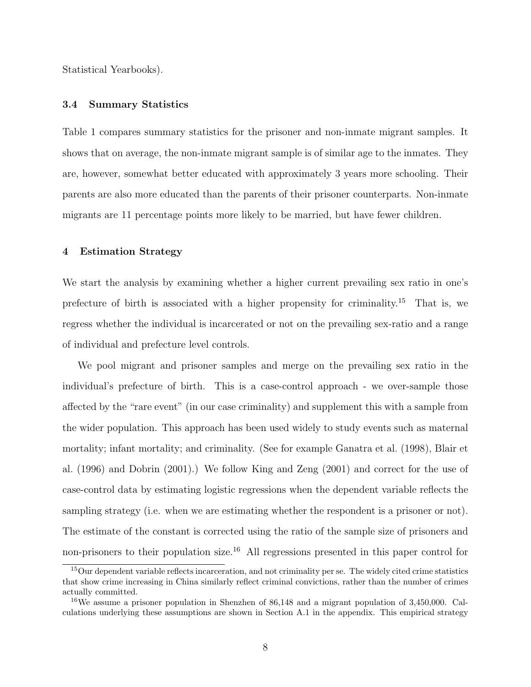Statistical Yearbooks).

#### 3.4 Summary Statistics

Table 1 compares summary statistics for the prisoner and non-inmate migrant samples. It shows that on average, the non-inmate migrant sample is of similar age to the inmates. They are, however, somewhat better educated with approximately 3 years more schooling. Their parents are also more educated than the parents of their prisoner counterparts. Non-inmate migrants are 11 percentage points more likely to be married, but have fewer children.

#### 4 Estimation Strategy

We start the analysis by examining whether a higher current prevailing sex ratio in one's prefecture of birth is associated with a higher propensity for criminality.<sup>15</sup> That is, we regress whether the individual is incarcerated or not on the prevailing sex-ratio and a range of individual and prefecture level controls.

We pool migrant and prisoner samples and merge on the prevailing sex ratio in the individual's prefecture of birth. This is a case-control approach - we over-sample those affected by the "rare event" (in our case criminality) and supplement this with a sample from the wider population. This approach has been used widely to study events such as maternal mortality; infant mortality; and criminality. (See for example Ganatra et al. (1998), Blair et al. (1996) and Dobrin (2001).) We follow King and Zeng (2001) and correct for the use of case-control data by estimating logistic regressions when the dependent variable reflects the sampling strategy (i.e. when we are estimating whether the respondent is a prisoner or not). The estimate of the constant is corrected using the ratio of the sample size of prisoners and non-prisoners to their population size.<sup>16</sup> All regressions presented in this paper control for

<sup>&</sup>lt;sup>15</sup>Our dependent variable reflects incarceration, and not criminality per se. The widely cited crime statistics that show crime increasing in China similarly reflect criminal convictions, rather than the number of crimes actually committed.

 $16\text{We assume a prisoner population in Shenzhen of } 86,148 \text{ and a migration population of } 3,450,000. \text{ Cal-}$ culations underlying these assumptions are shown in Section A.1 in the appendix. This empirical strategy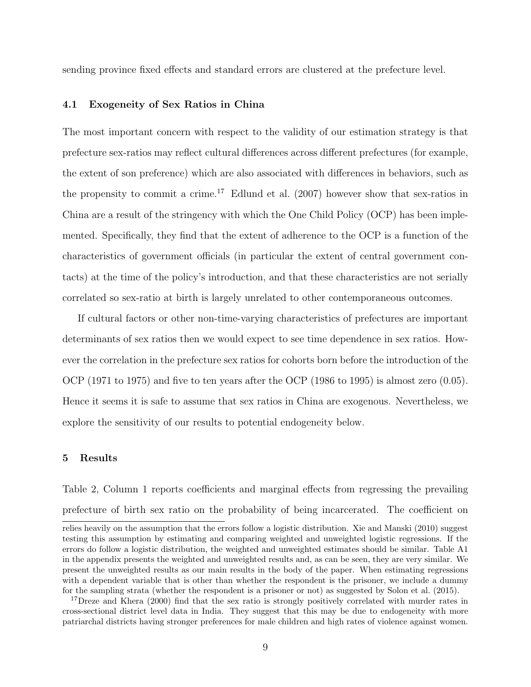sending province fixed effects and standard errors are clustered at the prefecture level.

#### 4.1 Exogeneity of Sex Ratios in China

The most important concern with respect to the validity of our estimation strategy is that prefecture sex-ratios may reflect cultural differences across different prefectures (for example, the extent of son preference) which are also associated with differences in behaviors, such as the propensity to commit a crime.<sup>17</sup> Edlund et al.  $(2007)$  however show that sex-ratios in China are a result of the stringency with which the One Child Policy (OCP) has been implemented. Specifically, they find that the extent of adherence to the OCP is a function of the characteristics of government officials (in particular the extent of central government contacts) at the time of the policy's introduction, and that these characteristics are not serially correlated so sex-ratio at birth is largely unrelated to other contemporaneous outcomes.

If cultural factors or other non-time-varying characteristics of prefectures are important determinants of sex ratios then we would expect to see time dependence in sex ratios. However the correlation in the prefecture sex ratios for cohorts born before the introduction of the OCP (1971 to 1975) and five to ten years after the OCP (1986 to 1995) is almost zero (0.05). Hence it seems it is safe to assume that sex ratios in China are exogenous. Nevertheless, we explore the sensitivity of our results to potential endogeneity below.

#### 5 Results

Table 2, Column 1 reports coefficients and marginal effects from regressing the prevailing prefecture of birth sex ratio on the probability of being incarcerated. The coefficient on

relies heavily on the assumption that the errors follow a logistic distribution. Xie and Manski (2010) suggest testing this assumption by estimating and comparing weighted and unweighted logistic regressions. If the errors do follow a logistic distribution, the weighted and unweighted estimates should be similar. Table A1 in the appendix presents the weighted and unweighted results and, as can be seen, they are very similar. We present the unweighted results as our main results in the body of the paper. When estimating regressions with a dependent variable that is other than whether the respondent is the prisoner, we include a dummy for the sampling strata (whether the respondent is a prisoner or not) as suggested by Solon et al. (2015).

<sup>&</sup>lt;sup>17</sup>Dreze and Khera (2000) find that the sex ratio is strongly positively correlated with murder rates in cross-sectional district level data in India. They suggest that this may be due to endogeneity with more patriarchal districts having stronger preferences for male children and high rates of violence against women.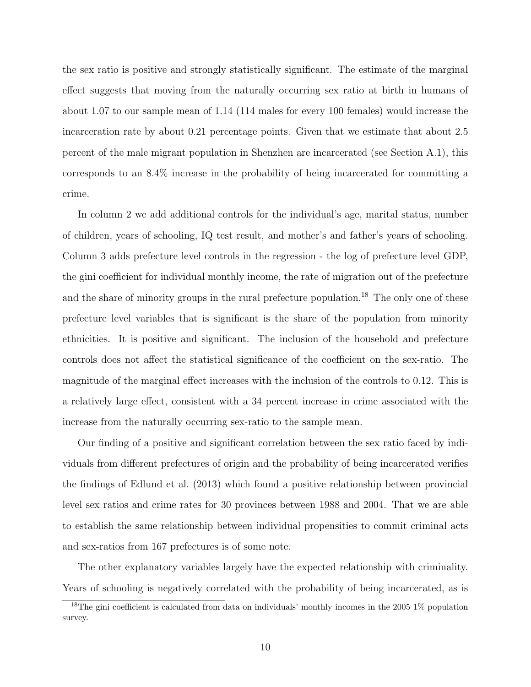the sex ratio is positive and strongly statistically significant. The estimate of the marginal effect suggests that moving from the naturally occurring sex ratio at birth in humans of about 1.07 to our sample mean of 1.14 (114 males for every 100 females) would increase the incarceration rate by about 0.21 percentage points. Given that we estimate that about 2.5 percent of the male migrant population in Shenzhen are incarcerated (see Section A.1), this corresponds to an 8.4% increase in the probability of being incarcerated for committing a crime.

In column 2 we add additional controls for the individual's age, marital status, number of children, years of schooling, IQ test result, and mother's and father's years of schooling. Column 3 adds prefecture level controls in the regression - the log of prefecture level GDP, the gini coefficient for individual monthly income, the rate of migration out of the prefecture and the share of minority groups in the rural prefecture population.<sup>18</sup> The only one of these prefecture level variables that is significant is the share of the population from minority ethnicities. It is positive and significant. The inclusion of the household and prefecture controls does not affect the statistical significance of the coefficient on the sex-ratio. The magnitude of the marginal effect increases with the inclusion of the controls to 0.12. This is a relatively large effect, consistent with a 34 percent increase in crime associated with the increase from the naturally occurring sex-ratio to the sample mean.

Our finding of a positive and significant correlation between the sex ratio faced by individuals from different prefectures of origin and the probability of being incarcerated verifies the findings of Edlund et al. (2013) which found a positive relationship between provincial level sex ratios and crime rates for 30 provinces between 1988 and 2004. That we are able to establish the same relationship between individual propensities to commit criminal acts and sex-ratios from 167 prefectures is of some note.

The other explanatory variables largely have the expected relationship with criminality. Years of schooling is negatively correlated with the probability of being incarcerated, as is

<sup>&</sup>lt;sup>18</sup>The gini coefficient is calculated from data on individuals' monthly incomes in the 2005 1% population survey.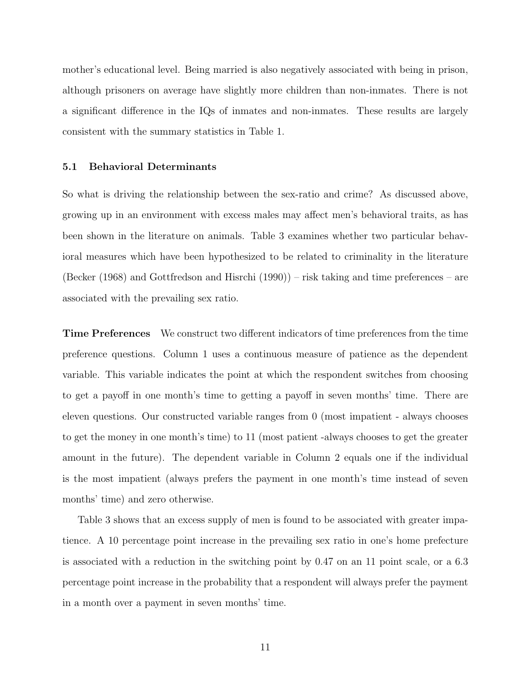mother's educational level. Being married is also negatively associated with being in prison, although prisoners on average have slightly more children than non-inmates. There is not a significant difference in the IQs of inmates and non-inmates. These results are largely consistent with the summary statistics in Table 1.

#### 5.1 Behavioral Determinants

So what is driving the relationship between the sex-ratio and crime? As discussed above, growing up in an environment with excess males may affect men's behavioral traits, as has been shown in the literature on animals. Table 3 examines whether two particular behavioral measures which have been hypothesized to be related to criminality in the literature (Becker (1968) and Gottfredson and Hisrchi (1990)) – risk taking and time preferences – are associated with the prevailing sex ratio.

Time Preferences We construct two different indicators of time preferences from the time preference questions. Column 1 uses a continuous measure of patience as the dependent variable. This variable indicates the point at which the respondent switches from choosing to get a payoff in one month's time to getting a payoff in seven months' time. There are eleven questions. Our constructed variable ranges from 0 (most impatient - always chooses to get the money in one month's time) to 11 (most patient -always chooses to get the greater amount in the future). The dependent variable in Column 2 equals one if the individual is the most impatient (always prefers the payment in one month's time instead of seven months' time) and zero otherwise.

Table 3 shows that an excess supply of men is found to be associated with greater impatience. A 10 percentage point increase in the prevailing sex ratio in one's home prefecture is associated with a reduction in the switching point by 0.47 on an 11 point scale, or a 6.3 percentage point increase in the probability that a respondent will always prefer the payment in a month over a payment in seven months' time.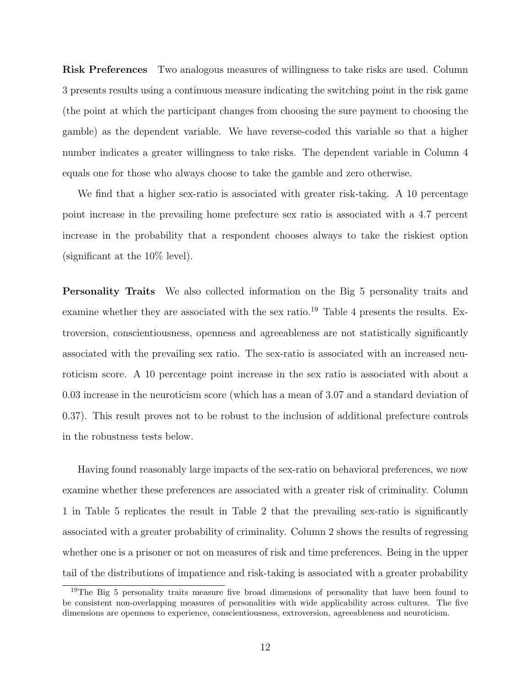Risk Preferences Two analogous measures of willingness to take risks are used. Column 3 presents results using a continuous measure indicating the switching point in the risk game (the point at which the participant changes from choosing the sure payment to choosing the gamble) as the dependent variable. We have reverse-coded this variable so that a higher number indicates a greater willingness to take risks. The dependent variable in Column 4 equals one for those who always choose to take the gamble and zero otherwise.

We find that a higher sex-ratio is associated with greater risk-taking. A 10 percentage point increase in the prevailing home prefecture sex ratio is associated with a 4.7 percent increase in the probability that a respondent chooses always to take the riskiest option (significant at the 10% level).

Personality Traits We also collected information on the Big 5 personality traits and examine whether they are associated with the sex ratio.<sup>19</sup> Table 4 presents the results. Extroversion, conscientiousness, openness and agreeableness are not statistically significantly associated with the prevailing sex ratio. The sex-ratio is associated with an increased neuroticism score. A 10 percentage point increase in the sex ratio is associated with about a 0.03 increase in the neuroticism score (which has a mean of 3.07 and a standard deviation of 0.37). This result proves not to be robust to the inclusion of additional prefecture controls in the robustness tests below.

Having found reasonably large impacts of the sex-ratio on behavioral preferences, we now examine whether these preferences are associated with a greater risk of criminality. Column 1 in Table 5 replicates the result in Table 2 that the prevailing sex-ratio is significantly associated with a greater probability of criminality. Column 2 shows the results of regressing whether one is a prisoner or not on measures of risk and time preferences. Being in the upper tail of the distributions of impatience and risk-taking is associated with a greater probability

<sup>&</sup>lt;sup>19</sup>The Big 5 personality traits measure five broad dimensions of personality that have been found to be consistent non-overlapping measures of personalities with wide applicability across cultures. The five dimensions are openness to experience, conscientiousness, extroversion, agreeableness and neuroticism.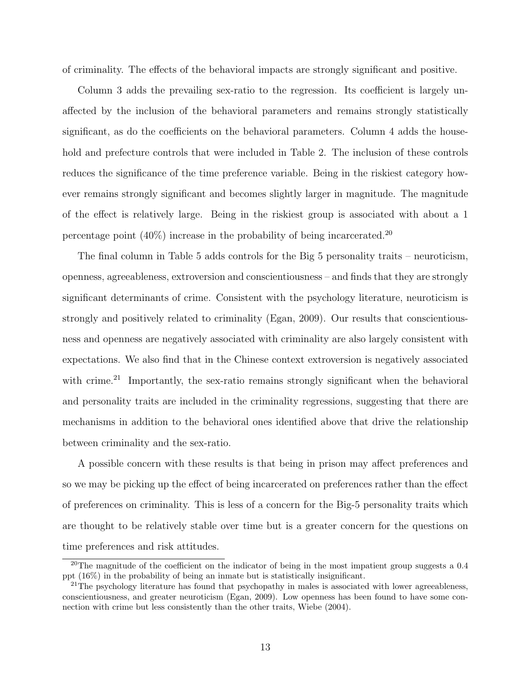of criminality. The effects of the behavioral impacts are strongly significant and positive.

Column 3 adds the prevailing sex-ratio to the regression. Its coefficient is largely unaffected by the inclusion of the behavioral parameters and remains strongly statistically significant, as do the coefficients on the behavioral parameters. Column 4 adds the household and prefecture controls that were included in Table 2. The inclusion of these controls reduces the significance of the time preference variable. Being in the riskiest category however remains strongly significant and becomes slightly larger in magnitude. The magnitude of the effect is relatively large. Being in the riskiest group is associated with about a 1 percentage point  $(40\%)$  increase in the probability of being incarcerated.<sup>20</sup>

The final column in Table 5 adds controls for the Big 5 personality traits – neuroticism, openness, agreeableness, extroversion and conscientiousness – and finds that they are strongly significant determinants of crime. Consistent with the psychology literature, neuroticism is strongly and positively related to criminality (Egan, 2009). Our results that conscientiousness and openness are negatively associated with criminality are also largely consistent with expectations. We also find that in the Chinese context extroversion is negatively associated with crime.<sup>21</sup> Importantly, the sex-ratio remains strongly significant when the behavioral and personality traits are included in the criminality regressions, suggesting that there are mechanisms in addition to the behavioral ones identified above that drive the relationship between criminality and the sex-ratio.

A possible concern with these results is that being in prison may affect preferences and so we may be picking up the effect of being incarcerated on preferences rather than the effect of preferences on criminality. This is less of a concern for the Big-5 personality traits which are thought to be relatively stable over time but is a greater concern for the questions on time preferences and risk attitudes.

<sup>&</sup>lt;sup>20</sup>The magnitude of the coefficient on the indicator of being in the most impatient group suggests a 0.4 ppt (16%) in the probability of being an inmate but is statistically insignificant.

<sup>&</sup>lt;sup>21</sup>The psychology literature has found that psychopathy in males is associated with lower agreeableness, conscientiousness, and greater neuroticism (Egan, 2009). Low openness has been found to have some connection with crime but less consistently than the other traits, Wiebe (2004).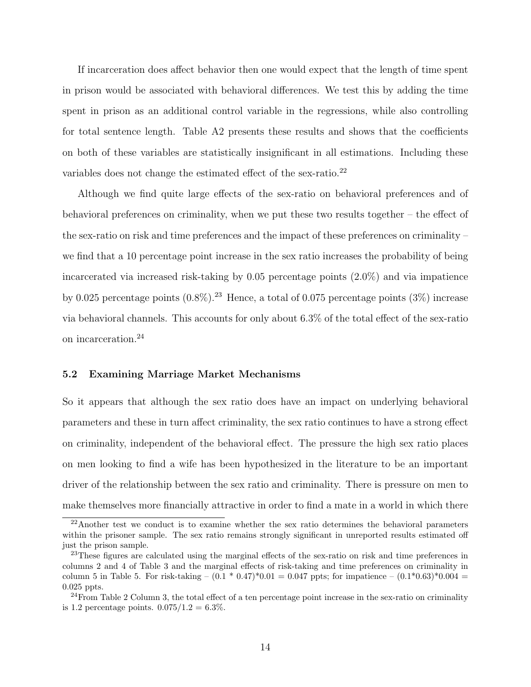If incarceration does affect behavior then one would expect that the length of time spent in prison would be associated with behavioral differences. We test this by adding the time spent in prison as an additional control variable in the regressions, while also controlling for total sentence length. Table A2 presents these results and shows that the coefficients on both of these variables are statistically insignificant in all estimations. Including these variables does not change the estimated effect of the sex-ratio.<sup>22</sup>

Although we find quite large effects of the sex-ratio on behavioral preferences and of behavioral preferences on criminality, when we put these two results together – the effect of the sex-ratio on risk and time preferences and the impact of these preferences on criminality – we find that a 10 percentage point increase in the sex ratio increases the probability of being incarcerated via increased risk-taking by 0.05 percentage points (2.0%) and via impatience by 0.025 percentage points  $(0.8\%)$ .<sup>23</sup> Hence, a total of 0.075 percentage points  $(3\%)$  increase via behavioral channels. This accounts for only about 6.3% of the total effect of the sex-ratio on incarceration.<sup>24</sup>

#### 5.2 Examining Marriage Market Mechanisms

So it appears that although the sex ratio does have an impact on underlying behavioral parameters and these in turn affect criminality, the sex ratio continues to have a strong effect on criminality, independent of the behavioral effect. The pressure the high sex ratio places on men looking to find a wife has been hypothesized in the literature to be an important driver of the relationship between the sex ratio and criminality. There is pressure on men to make themselves more financially attractive in order to find a mate in a world in which there

<sup>&</sup>lt;sup>22</sup>Another test we conduct is to examine whether the sex ratio determines the behavioral parameters within the prisoner sample. The sex ratio remains strongly significant in unreported results estimated off just the prison sample.

<sup>&</sup>lt;sup>23</sup>These figures are calculated using the marginal effects of the sex-ratio on risk and time preferences in columns 2 and 4 of Table 3 and the marginal effects of risk-taking and time preferences on criminality in column 5 in Table 5. For risk-taking –  $(0.1 * 0.47) * 0.01 = 0.047$  ppts; for impatience –  $(0.1 * 0.63) * 0.004 =$ 0.025 ppts.

 $24$ From Table 2 Column 3, the total effect of a ten percentage point increase in the sex-ratio on criminality is 1.2 percentage points.  $0.075/1.2 = 6.3\%$ .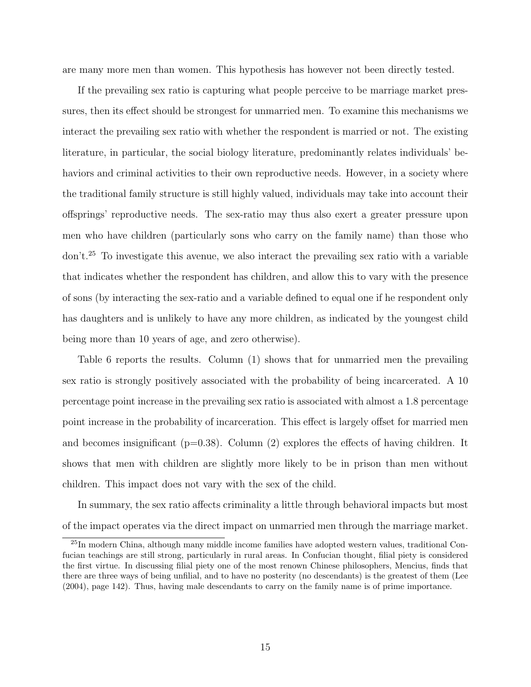are many more men than women. This hypothesis has however not been directly tested.

If the prevailing sex ratio is capturing what people perceive to be marriage market pressures, then its effect should be strongest for unmarried men. To examine this mechanisms we interact the prevailing sex ratio with whether the respondent is married or not. The existing literature, in particular, the social biology literature, predominantly relates individuals' behaviors and criminal activities to their own reproductive needs. However, in a society where the traditional family structure is still highly valued, individuals may take into account their offsprings' reproductive needs. The sex-ratio may thus also exert a greater pressure upon men who have children (particularly sons who carry on the family name) than those who don't.<sup>25</sup> To investigate this avenue, we also interact the prevailing sex ratio with a variable that indicates whether the respondent has children, and allow this to vary with the presence of sons (by interacting the sex-ratio and a variable defined to equal one if he respondent only has daughters and is unlikely to have any more children, as indicated by the youngest child being more than 10 years of age, and zero otherwise).

Table 6 reports the results. Column (1) shows that for unmarried men the prevailing sex ratio is strongly positively associated with the probability of being incarcerated. A 10 percentage point increase in the prevailing sex ratio is associated with almost a 1.8 percentage point increase in the probability of incarceration. This effect is largely offset for married men and becomes insignificant ( $p=0.38$ ). Column (2) explores the effects of having children. It shows that men with children are slightly more likely to be in prison than men without children. This impact does not vary with the sex of the child.

In summary, the sex ratio affects criminality a little through behavioral impacts but most of the impact operates via the direct impact on unmarried men through the marriage market.

<sup>25</sup>In modern China, although many middle income families have adopted western values, traditional Confucian teachings are still strong, particularly in rural areas. In Confucian thought, filial piety is considered the first virtue. In discussing filial piety one of the most renown Chinese philosophers, Mencius, finds that there are three ways of being unfilial, and to have no posterity (no descendants) is the greatest of them (Lee (2004), page 142). Thus, having male descendants to carry on the family name is of prime importance.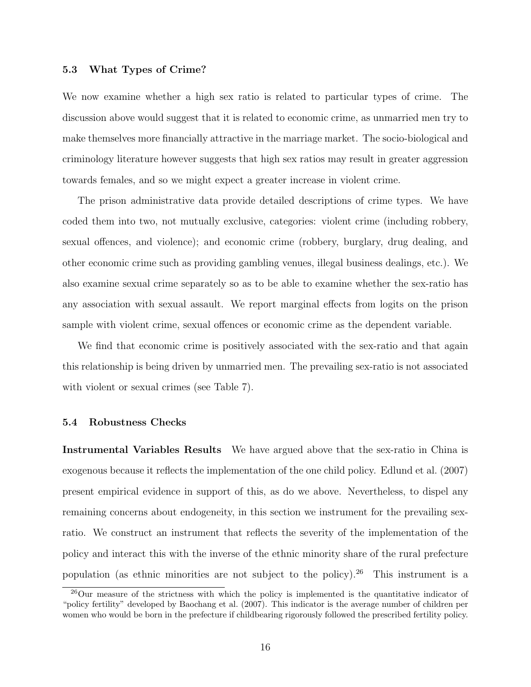#### 5.3 What Types of Crime?

We now examine whether a high sex ratio is related to particular types of crime. The discussion above would suggest that it is related to economic crime, as unmarried men try to make themselves more financially attractive in the marriage market. The socio-biological and criminology literature however suggests that high sex ratios may result in greater aggression towards females, and so we might expect a greater increase in violent crime.

The prison administrative data provide detailed descriptions of crime types. We have coded them into two, not mutually exclusive, categories: violent crime (including robbery, sexual offences, and violence); and economic crime (robbery, burglary, drug dealing, and other economic crime such as providing gambling venues, illegal business dealings, etc.). We also examine sexual crime separately so as to be able to examine whether the sex-ratio has any association with sexual assault. We report marginal effects from logits on the prison sample with violent crime, sexual offences or economic crime as the dependent variable.

We find that economic crime is positively associated with the sex-ratio and that again this relationship is being driven by unmarried men. The prevailing sex-ratio is not associated with violent or sexual crimes (see Table 7).

#### 5.4 Robustness Checks

Instrumental Variables Results We have argued above that the sex-ratio in China is exogenous because it reflects the implementation of the one child policy. Edlund et al. (2007) present empirical evidence in support of this, as do we above. Nevertheless, to dispel any remaining concerns about endogeneity, in this section we instrument for the prevailing sexratio. We construct an instrument that reflects the severity of the implementation of the policy and interact this with the inverse of the ethnic minority share of the rural prefecture population (as ethnic minorities are not subject to the policy).<sup>26</sup> This instrument is a

<sup>&</sup>lt;sup>26</sup>Our measure of the strictness with which the policy is implemented is the quantitative indicator of "policy fertility" developed by Baochang et al. (2007). This indicator is the average number of children per women who would be born in the prefecture if childbearing rigorously followed the prescribed fertility policy.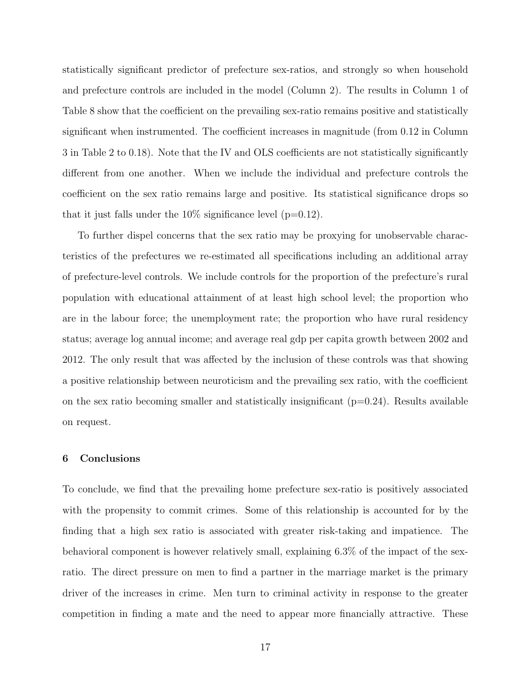statistically significant predictor of prefecture sex-ratios, and strongly so when household and prefecture controls are included in the model (Column 2). The results in Column 1 of Table 8 show that the coefficient on the prevailing sex-ratio remains positive and statistically significant when instrumented. The coefficient increases in magnitude (from 0.12 in Column 3 in Table 2 to 0.18). Note that the IV and OLS coefficients are not statistically significantly different from one another. When we include the individual and prefecture controls the coefficient on the sex ratio remains large and positive. Its statistical significance drops so that it just falls under the  $10\%$  significance level ( $p=0.12$ ).

To further dispel concerns that the sex ratio may be proxying for unobservable characteristics of the prefectures we re-estimated all specifications including an additional array of prefecture-level controls. We include controls for the proportion of the prefecture's rural population with educational attainment of at least high school level; the proportion who are in the labour force; the unemployment rate; the proportion who have rural residency status; average log annual income; and average real gdp per capita growth between 2002 and 2012. The only result that was affected by the inclusion of these controls was that showing a positive relationship between neuroticism and the prevailing sex ratio, with the coefficient on the sex ratio becoming smaller and statistically insignificant  $(p=0.24)$ . Results available on request.

#### 6 Conclusions

To conclude, we find that the prevailing home prefecture sex-ratio is positively associated with the propensity to commit crimes. Some of this relationship is accounted for by the finding that a high sex ratio is associated with greater risk-taking and impatience. The behavioral component is however relatively small, explaining 6.3% of the impact of the sexratio. The direct pressure on men to find a partner in the marriage market is the primary driver of the increases in crime. Men turn to criminal activity in response to the greater competition in finding a mate and the need to appear more financially attractive. These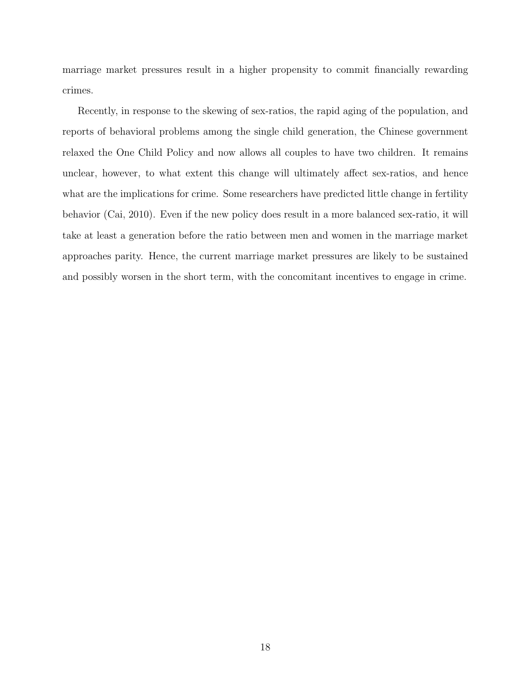marriage market pressures result in a higher propensity to commit financially rewarding crimes.

Recently, in response to the skewing of sex-ratios, the rapid aging of the population, and reports of behavioral problems among the single child generation, the Chinese government relaxed the One Child Policy and now allows all couples to have two children. It remains unclear, however, to what extent this change will ultimately affect sex-ratios, and hence what are the implications for crime. Some researchers have predicted little change in fertility behavior (Cai, 2010). Even if the new policy does result in a more balanced sex-ratio, it will take at least a generation before the ratio between men and women in the marriage market approaches parity. Hence, the current marriage market pressures are likely to be sustained and possibly worsen in the short term, with the concomitant incentives to engage in crime.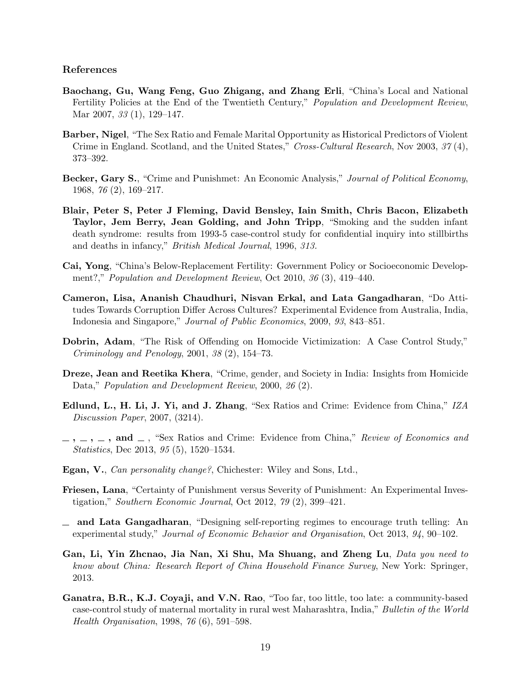#### References

- Baochang, Gu, Wang Feng, Guo Zhigang, and Zhang Erli, "China's Local and National Fertility Policies at the End of the Twentieth Century," Population and Development Review, Mar 2007, 33 (1), 129–147.
- Barber, Nigel, "The Sex Ratio and Female Marital Opportunity as Historical Predictors of Violent Crime in England. Scotland, and the United States," Cross-Cultural Research, Nov 2003, 37(4), 373–392.
- Becker, Gary S., "Crime and Punishmet: An Economic Analysis," Journal of Political Economy, 1968, 76 (2), 169–217.
- Blair, Peter S, Peter J Fleming, David Bensley, Iain Smith, Chris Bacon, Elizabeth Taylor, Jem Berry, Jean Golding, and John Tripp, "Smoking and the sudden infant death syndrome: results from 1993-5 case-control study for confidential inquiry into stillbirths and deaths in infancy," British Medical Journal, 1996, 313.
- Cai, Yong, "China's Below-Replacement Fertility: Government Policy or Socioeconomic Development?," *Population and Development Review*, Oct 2010, 36 (3), 419–440.
- Cameron, Lisa, Ananish Chaudhuri, Nisvan Erkal, and Lata Gangadharan, "Do Attitudes Towards Corruption Differ Across Cultures? Experimental Evidence from Australia, India, Indonesia and Singapore," Journal of Public Economics, 2009, 93, 843–851.
- Dobrin, Adam, "The Risk of Offending on Homocide Victimization: A Case Control Study," Criminology and Penology, 2001, 38 (2), 154–73.
- Dreze, Jean and Reetika Khera, "Crime, gender, and Society in India: Insights from Homicide Data," Population and Development Review, 2000, 26 (2).
- Edlund, L., H. Li, J. Yi, and J. Zhang, "Sex Ratios and Crime: Evidence from China," IZA Discussion Paper, 2007, (3214).
- $, \ldots, \ldots, \text{ and } \ldots$ , "Sex Ratios and Crime: Evidence from China," Review of Economics and Statistics, Dec 2013, 95 (5), 1520–1534.
- Egan, V., Can personality change?, Chichester: Wiley and Sons, Ltd.,
- Friesen, Lana, "Certainty of Punishment versus Severity of Punishment: An Experimental Investigation," Southern Economic Journal, Oct 2012, 79 (2), 399–421.
- $\equiv$  and Lata Gangadharan, "Designing self-reporting regimes to encourage truth telling: An experimental study," Journal of Economic Behavior and Organisation, Oct 2013, 94, 90–102.
- Gan, Li, Yin Zhcnao, Jia Nan, Xi Shu, Ma Shuang, and Zheng Lu, Data you need to know about China: Research Report of China Household Finance Survey, New York: Springer, 2013.
- Ganatra, B.R., K.J. Coyaji, and V.N. Rao, "Too far, too little, too late: a community-based case-control study of maternal mortality in rural west Maharashtra, India," Bulletin of the World Health Organisation, 1998, 76 (6), 591–598.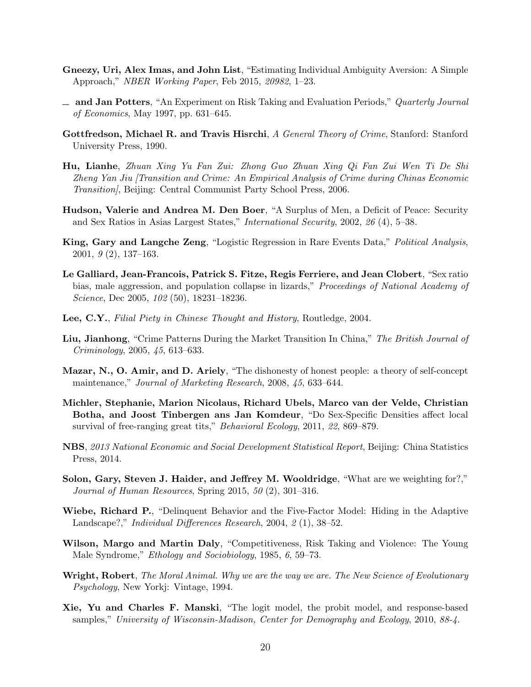- Gneezy, Uri, Alex Imas, and John List, "Estimating Individual Ambiguity Aversion: A Simple Approach," NBER Working Paper, Feb 2015, 20982, 1–23.
- $\Delta$  and Jan Potters, "An Experiment on Risk Taking and Evaluation Periods," Quarterly Journal of Economics, May 1997, pp. 631–645.
- Gottfredson, Michael R. and Travis Hisrchi, A General Theory of Crime, Stanford: Stanford University Press, 1990.
- Hu, Lianhe, Zhuan Xing Yu Fan Zui: Zhong Guo Zhuan Xing Qi Fan Zui Wen Ti De Shi Zheng Yan Jiu [Transition and Crime: An Empirical Analysis of Crime during Chinas Economic Transition], Beijing: Central Communist Party School Press, 2006.
- Hudson, Valerie and Andrea M. Den Boer, "A Surplus of Men, a Deficit of Peace: Security and Sex Ratios in Asias Largest States," International Security, 2002, 26 (4), 5–38.
- King, Gary and Langche Zeng, "Logistic Regression in Rare Events Data," Political Analysis, 2001, 9 (2), 137–163.
- Le Galliard, Jean-Francois, Patrick S. Fitze, Regis Ferriere, and Jean Clobert, "Sex ratio bias, male aggression, and population collapse in lizards," Proceedings of National Academy of Science, Dec 2005, 102 (50), 18231–18236.
- Lee, C.Y., Filial Piety in Chinese Thought and History, Routledge, 2004.
- Liu, Jianhong, "Crime Patterns During the Market Transition In China," The British Journal of Criminology, 2005, 45, 613–633.
- Mazar, N., O. Amir, and D. Ariely, "The dishonesty of honest people: a theory of self-concept maintenance," Journal of Marketing Research, 2008, 45, 633–644.
- Michler, Stephanie, Marion Nicolaus, Richard Ubels, Marco van der Velde, Christian Botha, and Joost Tinbergen ans Jan Komdeur, "Do Sex-Specific Densities affect local survival of free-ranging great tits," Behavioral Ecology, 2011, 22, 869–879.
- NBS, 2013 National Economic and Social Development Statistical Report, Beijing: China Statistics Press, 2014.
- Solon, Gary, Steven J. Haider, and Jeffrey M. Wooldridge, "What are we weighting for?," Journal of Human Resources, Spring 2015, 50 (2), 301–316.
- Wiebe, Richard P., "Delinquent Behavior and the Five-Factor Model: Hiding in the Adaptive Landscape?," Individual Differences Research, 2004, 2 (1), 38–52.
- Wilson, Margo and Martin Daly, "Competitiveness, Risk Taking and Violence: The Young Male Syndrome," Ethology and Sociobiology, 1985, 6, 59–73.
- Wright, Robert, The Moral Animal. Why we are the way we are. The New Science of Evolutionary Psychology, New Yorkj: Vintage, 1994.
- Xie, Yu and Charles F. Manski, "The logit model, the probit model, and response-based samples," University of Wisconsin-Madison, Center for Demography and Ecology, 2010, 88-4.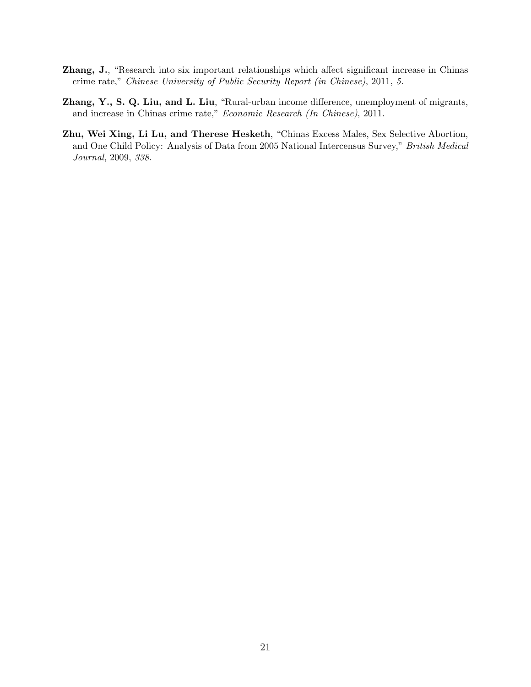- Zhang, J., "Research into six important relationships which affect significant increase in Chinas crime rate," Chinese University of Public Security Report (in Chinese), 2011, 5.
- Zhang, Y., S. Q. Liu, and L. Liu, "Rural-urban income difference, unemployment of migrants, and increase in Chinas crime rate," Economic Research (In Chinese), 2011.
- Zhu, Wei Xing, Li Lu, and Therese Hesketh, "Chinas Excess Males, Sex Selective Abortion, and One Child Policy: Analysis of Data from 2005 National Intercensus Survey," British Medical Journal, 2009, 338.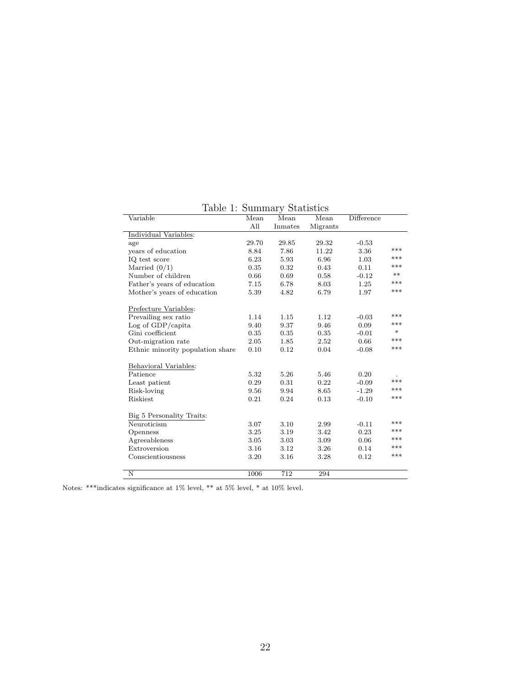| Variable                         | Mean  | Mean    | Mean     | Difference |        |
|----------------------------------|-------|---------|----------|------------|--------|
|                                  | All   | Inmates | Migrants |            |        |
| Individual Variables:            |       |         |          |            |        |
| age                              | 29.70 | 29.85   | 29.32    | $-0.53$    |        |
| years of education               | 8.84  | 7.86    | 11.22    | 3.36       | ***    |
| IQ test score                    | 6.23  | 5.93    | 6.96     | 1.03       | ***    |
| Married $(0/1)$                  | 0.35  | 0.32    | 0.43     | 0.11       | ***    |
| Number of children               | 0.66  | 0.69    | 0.58     | $-0.12$    | $***$  |
| Father's years of education      | 7.15  | 6.78    | 8.03     | 1.25       | ***    |
| Mother's years of education      | 5.39  | 4.82    | 6.79     | 1.97       | ***    |
| Prefecture Variables:            |       |         |          |            |        |
| Prevailing sex ratio             | 1.14  | 1.15    | 1.12     | $-0.03$    | ***    |
| Log of GDP/capita                | 9.40  | 9.37    | 9.46     | 0.09       | ***    |
| Gini coefficient                 | 0.35  | 0.35    | 0.35     | $-0.01$    | $\ast$ |
| Out-migration rate               | 2.05  | 1.85    | 2.52     | 0.66       | ***    |
| Ethnic minority population share | 0.10  | 0.12    | 0.04     | $-0.08$    | ***    |
| Behavioral Variables:            |       |         |          |            |        |
| Patience                         | 5.32  | 5.26    | 5.46     | 0.20       |        |
| Least patient                    | 0.29  | 0.31    | 0.22     | $-0.09$    | ***    |
| Risk-loving                      | 9.56  | 9.94    | 8.65     | $-1.29$    | ***    |
| Riskiest                         | 0.21  | 0.24    | 0.13     | $-0.10$    | ***    |
| Big 5 Personality Traits:        |       |         |          |            |        |
| Neuroticism                      | 3.07  | 3.10    | 2.99     | $-0.11$    | ***    |
| Openness                         | 3.25  | 3.19    | 3.42     | 0.23       | ***    |
| Agreeableness                    | 3.05  | 3.03    | 3.09     | 0.06       | ***    |
| Extroversion                     | 3.16  | 3.12    | 3.26     | 0.14       | ***    |
| Conscientiousness                | 3.20  | 3.16    | 3.28     | 0.12       | ***    |
| N                                | 1006  | 712     | 294      |            |        |

Table 1: Summary Statistics

Notes: \*\*\*indicates significance at 1% level, \*\* at 5% level, \* at 10% level.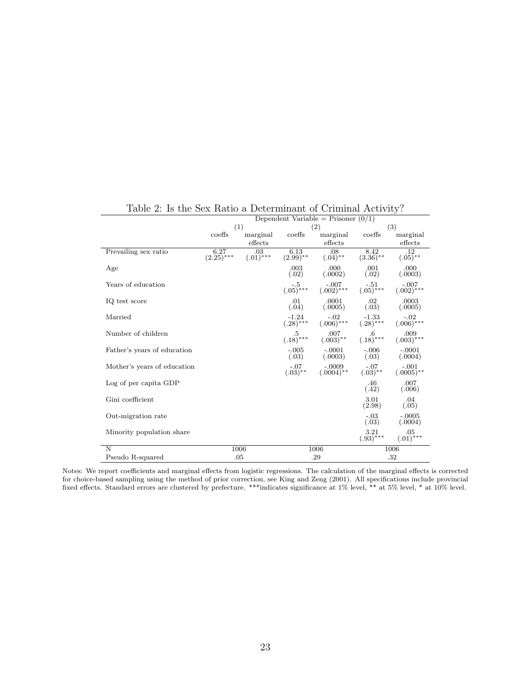|                             |                      | Dependent Variable = Prisoner $(0/1)$ |                             |                                                                                           |                                                    |                              |
|-----------------------------|----------------------|---------------------------------------|-----------------------------|-------------------------------------------------------------------------------------------|----------------------------------------------------|------------------------------|
|                             |                      | (1)                                   |                             | (2)                                                                                       |                                                    | (3)                          |
|                             | coeffs               | marginal                              | coeffs                      | marginal                                                                                  | coeffs                                             | marginal                     |
|                             |                      | effects                               |                             | effects                                                                                   |                                                    | ${\rm effects}$              |
| Prevailing sex ratio        | 6.27<br>$(2.25)$ *** | $(0.03)$ ***                          | $\frac{6.13}{(2.99)^{**}}$  | $.08$<br>$(.04)$ **                                                                       | $\frac{8.42}{(3.36)^{**}}$                         | .12<br>$(.05)$ <sup>**</sup> |
| Age                         |                      |                                       | $.003$<br>$(.02)$           | .000<br>(.0002)                                                                           | $\binom{001}{02}$                                  | .000<br>(.0003)              |
| Years of education          |                      |                                       |                             | $(-.5$ $-.007$ $-.51$ $-.007$<br>$(.05)^{***$ $(.002)^{***}$ $(.05)^{***}$ $(.002)^{***}$ |                                                    |                              |
| IQ test score               |                      |                                       | .01<br>(.04)                | .0001<br>(.0005)                                                                          | .02<br>(.03)                                       | .0003<br>(.0005)             |
| Married                     |                      |                                       | $\frac{-1.24}{(.28)^{***}}$ | $(.006)$ ***                                                                              | $\frac{-1.33}{(.28)^{***}}$                        | $(.006)$ ***                 |
| Number of children          |                      |                                       | $\frac{5}{(.18)^{***}}$     | $007$<br>(.003)**                                                                         | $\overset{.6}{\textbf{0}}\textbf{.18}^{\textbf{}}$ | .009<br>$(.003)$ ***         |
| Father's years of education |                      |                                       | $-.005$<br>(.03)            | $-.0001$<br>(.0003)                                                                       | $-0.006$<br>$(.03)$                                | $-.0001$<br>(.0004)          |
| Mother's years of education |                      |                                       | $-07$<br>$(.03)$ **         | $-0009$<br>(.0004)**                                                                      | $-07$<br>$(.03)$ **                                | $(.0005)$ **                 |
| Log of per capita GDP       |                      |                                       |                             |                                                                                           | $\binom{46}{42}$                                   | .007<br>(.006)               |
| Gini coefficient            |                      |                                       |                             |                                                                                           | 3.01<br>(2.98)                                     | .04<br>(.05)                 |
| Out-migration rate          |                      |                                       |                             |                                                                                           | $-.03$<br>(.03)                                    | $-.0005$<br>(.0004)          |
| Minority population share   |                      |                                       |                             |                                                                                           | $\substack{3.21 \ (.93)^{***}}$                    | $.05$<br>$(.01)$ ***         |
| N                           |                      | 1006                                  |                             | 1006                                                                                      |                                                    | 1006                         |
| Pseudo R-squared            |                      | .05                                   | .29                         |                                                                                           |                                                    | .32                          |

Table 2: Is the Sex Ratio a Determinant of Criminal Activity?

Notes: We report coefficients and marginal effects from logistic regressions. The calculation of the marginal effects is corrected for choice-based sampling using the method of prior correction, see King and Zeng (2001). All specifications include provincial fixed effects. Standard errors are clustered by prefecture. \*\*\*indicates significance at 1% level, \*\* at 5% level, \* at 10% level.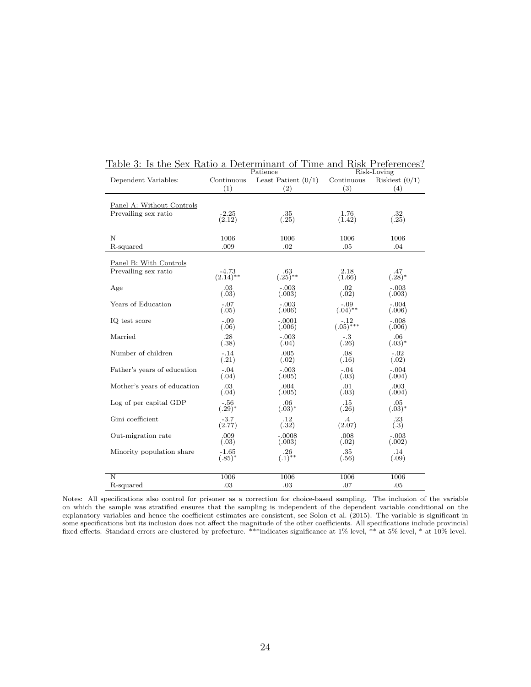|                             |                        | Patience              |                 | Risk-Loving       |
|-----------------------------|------------------------|-----------------------|-----------------|-------------------|
| Dependent Variables:        | Continuous             | Least Patient $(0/1)$ | Continuous      | Riskiest $(0/1)$  |
|                             | (1)                    | (2)                   | (3)             | (4)               |
|                             |                        |                       |                 |                   |
| Panel A: Without Controls   |                        |                       |                 |                   |
| Prevailing sex ratio        | $-2.25$                | .35                   | 1.76            | $\binom{32}{.25}$ |
|                             | (2.12)                 | (.25)                 | (1.42)          |                   |
|                             |                        |                       |                 |                   |
| $\mathbf N$                 | 1006                   | 1006                  | 1006            | 1006              |
| R-squared                   | .009                   | .02                   | .05             | .04               |
|                             |                        |                       |                 |                   |
| Panel B: With Controls      |                        |                       |                 |                   |
| Prevailing sex ratio        | $-4.73$<br>$(2.14)$ ** | .63<br>$(.25)$ **     | 2.18<br>(1.66)  | .47<br>$(.28)^*$  |
| Age                         | .03                    | $-.003$               | .02             | $-.003$           |
|                             | (.03)                  | (.003)                | (.02)           | (.003)            |
| Years of Education          | $-.07$                 | $-.003$               | $-.09$          | $-.004$           |
|                             | (.05)                  | (.006)                | $(.04)$ **      | (.006)            |
| IQ test score               | $-.09$                 | $-.0001$              | -.12            | $-.008$           |
|                             | (.06)                  | (.006)                | $(.05)$ ***     | (.006)            |
| Married                     | .28                    | $-.003$               | $-.3$           | .06               |
|                             | (.38)                  | (.04)                 | (.26)           | $(.03)^*$         |
| Number of children          | $-.14$                 | .005                  | .08             | $-.02$            |
|                             | (.21)                  | (.02)                 | (.16)           | (.02)             |
| Father's years of education | $-.04$<br>(.04)        | $-.003$<br>(.005)     | $-.04$<br>(.03) | $-.004$<br>(.004) |
|                             |                        |                       |                 |                   |
| Mother's years of education | .03<br>(.04)           | .004<br>(.005)        | .01<br>(.03)    | .003<br>(.004)    |
| Log of per capital GDP      | $-.56$                 | .06                   | .15             | .05               |
|                             | $(.29)^*$              | $(.03)^*$             | (.26)           | $(.03)^*$         |
| Gini coefficient            | $-3.7$                 | .12                   | .4              | .23               |
|                             | (2.77)                 | (.32)                 | (2.07)          | (.3)              |
| Out-migration rate          | .009                   | $-.0008$              | .008            | $-.003$           |
|                             | (.03)                  | (.003)                | (.02)           | (.002)            |
| Minority population share   | $-1.65$                | .26                   | .35             | .14               |
|                             | $(.85)^*$              | $(.1)$ **             | (.56)           | (.09)             |
|                             |                        |                       |                 |                   |
| $\overline{\rm N}$          | 1006                   | 1006                  | 1006            | 1006              |
| R-squared                   | .03                    | .03                   | .07             | .05               |

#### Table 3: Is the Sex Ratio a Determinant of Time and Risk Preferences?

Notes: All specifications also control for prisoner as a correction for choice-based sampling. The inclusion of the variable on which the sample was stratified ensures that the sampling is independent of the dependent variable conditional on the explanatory variables and hence the coefficient estimates are consistent, see Solon et al. (2015). The variable is significant in some specifications but its inclusion does not affect the magnitude of the other coefficients. All specifications include provincial fixed effects. Standard errors are clustered by prefecture. \*\*\*indicates significance at 1% level, \*\* at 5% level, \* at 10% level.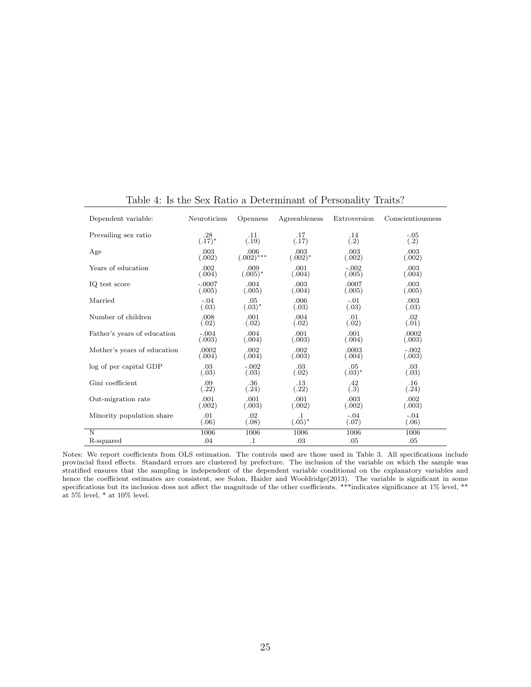| Dependent variable:         | Neuroticism | <b>Openness</b> | Agreeableness | Extroversion | Conscientiousness |
|-----------------------------|-------------|-----------------|---------------|--------------|-------------------|
| Prevailing sex ratio        | .28         | .11             | .17           | .14          | $-.05$            |
|                             | $(.17)^*$   | (.19)           | (.17)         | (.2)         | (.2)              |
| Age                         | .003        | .006            | .003          | .003         | .003              |
|                             | (.002)      | $(.002)$ ***    | $(.002)*$     | (.002)       | (.002)            |
| Years of education          | .002        | .009            | .001          | $-.002$      | .003              |
|                             | (.004)      | $(.005)^*$      | (.004)        | (.005)       | (.004)            |
| IQ test score               | $-.0007$    | .004            | .003          | .0007        | .003              |
|                             | (.005)      | (.005)          | (.004)        | (.005)       | (.005)            |
| Married                     | $-.04$      | .05             | .006          | $-.01$       | .003              |
|                             | (.03)       | $(.03)^*$       | (.03)         | (.03)        | (.03)             |
| Number of children          | .008        | .001            | .004          | .01          | .02               |
|                             | (.02)       | (.02)           | (.02)         | (.02)        | (.01)             |
| Father's years of education | $-.004$     | .004            | .001          | .001         | .0002             |
|                             | (.003)      | (.004)          | (.003)        | (.004)       | (.003)            |
| Mother's years of education | .0002       | .002            | .002          | .0003        | $-.002$           |
|                             | (.004)      | (.004)          | (.003)        | (.004)       | (.003)            |
| log of per capital GDP      | .03         | $-.002$         | .03           | .05          | .03               |
|                             | (.03)       | (.03)           | (.02)         | $(.03)^*$    | (.03)             |
| Gini coefficient            | .09         | .36             | $.13\,$       | .42          | .16               |
|                             | (.22)       | (.24)           | (.22)         | (.3)         | (.24)             |
| Out-migration rate          | .001        | .001            | .001          | .003         | .002              |
|                             | (.002)      | (.003)          | (.002)        | (.002)       | (.003)            |
| Minority population share   | .01         | .02             | $\cdot$ 1     | $-.04$       | $-.04$            |
|                             | (.06)       | (.08)           | $(.05)^*$     | (.07)        | (.06)             |
| N                           | 1006        | 1006            | 1006          | 1006         | 1006              |
| R-squared                   | .04         | $\cdot$         | .03           | .05          | .05               |

Table 4: Is the Sex Ratio a Determinant of Personality Traits?

Notes: We report coefficients from OLS estimation. The controls used are those used in Table 3. All specifications include provincial fixed effects. Standard errors are clustered by prefecture. The inclusion of the variable on which the sample was stratified ensures that the sampling is independent of the dependent variable conditional on the explanatory variables and hence the coefficient estimates are consistent, see Solon, Haider and Wooldridge(2013). The variable is significant in some specifications but its inclusion does not affect the magnitude of the other coefficients. \*\*\*indicates significance at 1% level, \*\* at  $5\%$  level, \* at  $10\%$  level.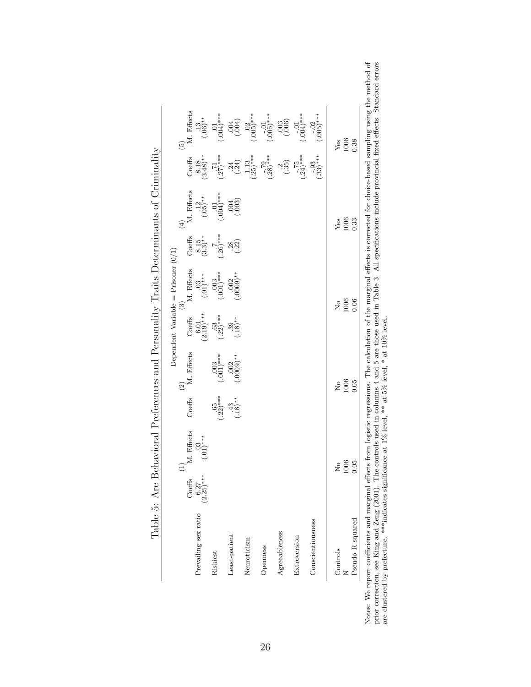|                      |             | $\left( \begin{matrix} 1 \end{matrix} \right)$ |                          | $\odot$         |                                          | Dependent Variable = Prisoner $(0/1)$<br>$\odot$ |                                                   | $\left( \frac{1}{2} \right)$ |                                           | $\widehat{5}$            |
|----------------------|-------------|------------------------------------------------|--------------------------|-----------------|------------------------------------------|--------------------------------------------------|---------------------------------------------------|------------------------------|-------------------------------------------|--------------------------|
|                      | Coeffs      | M. Effects                                     | Coeffs                   | M. Effects      | Coeffs                                   | M. Effects                                       | Coeffs                                            | M. Effects                   | Coeffs                                    | M. Effects               |
| Prevailing sex ratio | $(2.25)***$ | $\underset{(-01)^{***}}{03}$                   |                          |                 | $\left( \frac{6.01}{2.19} \right)^{***}$ | $(0.03)$ ***                                     | $\begin{array}{c} 8.15 \\ (3.3)^{**} \end{array}$ | $\frac{12}{(05)*}$           | $(3.48)_{**}$                             | $\frac{13}{(.06)^*}$     |
| Riskiest             |             |                                                | $(0.56)$ **              | $(0.003)$ ***   | $(0.53)$ ***                             | $(0.003)$ ***                                    | $(.26)$ ***                                       | $\bigoplus_{k=1}^{10} 0$     | $\frac{71}{(.27)^{***}}$                  | $^{0.01}_{0.04***}$      |
| Least-patient        |             |                                                | $\stackrel{43}{(18)}$ ** | $^{***}$ (0000) | $^{0.39}_{(0.18)**}$                     | $^{**}$ (.0009)                                  | $\frac{28}{22}$                                   | (003)                        | $\begin{pmatrix} 24 \\ -24 \end{pmatrix}$ | (500)                    |
| Neuroticism          |             |                                                |                          |                 |                                          |                                                  |                                                   |                              | $\frac{1.13}{(25)^\ast}$                  | $\frac{02}{005}$ ***     |
| Openness             |             |                                                |                          |                 |                                          |                                                  |                                                   |                              | $^{-.79}_{-.28)***}$                      | $(-0.01$<br>$(0.05)$ *** |
| Agreeableness        |             |                                                |                          |                 |                                          |                                                  |                                                   |                              | $\frac{25}{35}$                           | (000)                    |
| Extroversion         |             |                                                |                          |                 |                                          |                                                  |                                                   |                              | $-75$<br>$(-24)*$                         | $(-0.01)$ ***            |
| Conscientiousness    |             |                                                |                          |                 |                                          |                                                  |                                                   |                              | $-0.93$<br>$(-33)$ ***                    | $-02$<br>(.005)***       |
| Controls             |             | 2                                              |                          | $\frac{1}{2}$   |                                          | $\frac{1}{2}$                                    |                                                   | Yes                          |                                           | Yes                      |
|                      |             | 1006                                           |                          | 1006            |                                          | 1006                                             |                                                   | 1006                         |                                           | 1006                     |
| Pseudo R-squared     |             | 0.05                                           |                          | 0.05            |                                          | 0.06                                             |                                                   | 0.33                         |                                           | 0.38                     |

Table 5: Are Behavioral Preferences and Personality Traits Determinants of Criminality Table 5: Are Behavioral Preferences and Personality Traits Determinants of Criminality Notes: We report coefficients and marginal effects from logistic regressions. The calculation of the marginal effects is corrected for choice-based sampling using the method of prior correction, see King and Zeng (2001). Notes: We report coefficients and marginal effects from logistic regressions. The calculation of the marginal effects is corrected for choice-based sampling using the method of prior correction, see King and Zeng (2001). The controls used in columns 4 and 5 are those used in Table 3. All specifications include provincial fixed effects. Standard errors are clustered by prefecture. \*\*\*indicates significance at  $1\%$  level, \*\* at  $5\%$  level, \* at  $10\%$  level.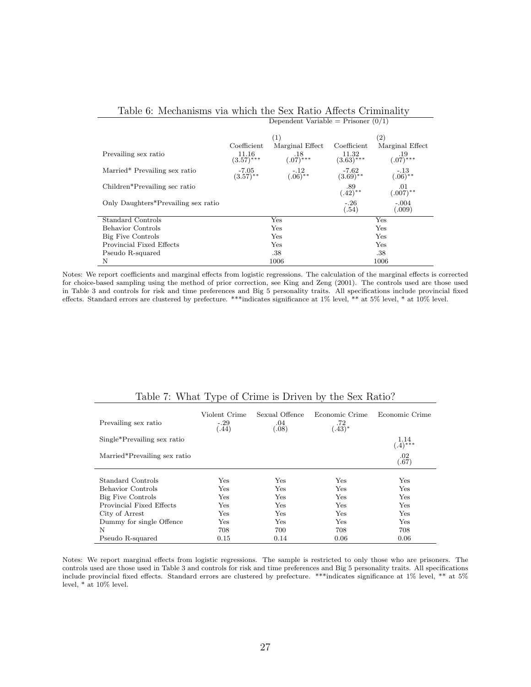|                                     |                                   | Dependent Variable = Prisoner $(0/1)$ |                                   |                        |  |
|-------------------------------------|-----------------------------------|---------------------------------------|-----------------------------------|------------------------|--|
|                                     |                                   | (1)                                   |                                   | $\left( 2\right)$      |  |
|                                     | Coefficient                       | Marginal Effect                       | Coefficient                       | Marginal Effect        |  |
| Prevailing sex ratio                | 11.16<br>$(3.57)$ ***             | $.18$<br>$(.07)***$                   | 11.32<br>$(3.63)$ ***             | $.19$<br>(.07)***      |  |
| Married* Prevailing sex ratio       | $-7.05$<br>$(3.57)$ <sup>**</sup> | $\frac{-.12}{(.06)^{**}}$             | $-7.62$<br>$(3.69)$ <sup>**</sup> | $^{-.13}_{(.06)^{**}}$ |  |
| Children*Prevailing sec ratio       |                                   |                                       | $.89$<br>$(.42)**$                | .01<br>$(.007)$ **     |  |
| Only Daughters*Prevailing sex ratio |                                   |                                       | $-.26$<br>(.54)                   | $-.004$<br>(.009)      |  |
| Standard Controls                   |                                   | Yes                                   | Yes                               |                        |  |
| <b>Behavior</b> Controls            |                                   | Yes                                   | Yes                               |                        |  |
| Big Five Controls                   |                                   | Yes                                   |                                   | Yes                    |  |
| Provincial Fixed Effects            |                                   | Yes                                   |                                   | Yes                    |  |
| Pseudo R-squared                    |                                   | .38                                   |                                   | .38                    |  |
| N                                   |                                   | 1006                                  | 1006                              |                        |  |

#### Table 6: Mechanisms via which the Sex Ratio Affects Criminality

Notes: We report coefficients and marginal effects from logistic regressions. The calculation of the marginal effects is corrected for choice-based sampling using the method of prior correction, see King and Zeng (2001). The controls used are those used in Table 3 and controls for risk and time preferences and Big 5 personality traits. All specifications include provincial fixed effects. Standard errors are clustered by prefecture. \*\*\*indicates significance at 1% level, \*\* at 5% level, \* at 10% level.

| Prevailing sex ratio         | Violent Crime<br>$-.29$<br>(.44) | Sexual Offence<br>.04<br>(.08) | Economic Crime<br>.72<br>$(.43)^*$ | Economic Crime     |
|------------------------------|----------------------------------|--------------------------------|------------------------------------|--------------------|
| Single*Prevailing sex ratio  |                                  |                                |                                    | 1.14<br>$(.4)$ *** |
| Married*Prevailing sex ratio |                                  |                                |                                    | .02<br>(.67)       |
|                              |                                  |                                |                                    |                    |
| Standard Controls            | Yes                              | Yes                            | Yes                                | Yes                |
| <b>Behavior Controls</b>     | Yes                              | Yes                            | Yes                                | Yes                |
| Big Five Controls            | Yes                              | Yes                            | Yes                                | Yes                |
| Provincial Fixed Effects     | Yes                              | Yes                            | Yes                                | Yes                |
| City of Arrest               | Yes                              | Yes                            | Yes                                | Yes                |
| Dummy for single Offence     | Yes                              | Yes                            | Yes                                | Yes                |
| N                            | 708                              | 700                            | 708                                | 708                |
| Pseudo R-squared             | 0.15                             | 0.14                           | 0.06                               | 0.06               |

#### Table 7: What Type of Crime is Driven by the Sex Ratio?

Notes: We report marginal effects from logistic regressions. The sample is restricted to only those who are prisoners. The controls used are those used in Table 3 and controls for risk and time preferences and Big 5 personality traits. All specifications include provincial fixed effects. Standard errors are clustered by prefecture. \*\*\*indicates significance at 1% level, \*\* at 5% level, \* at 10% level.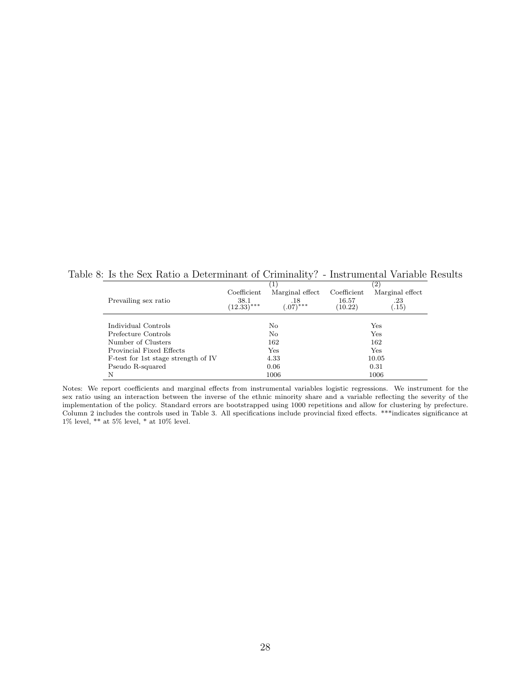Table 8: Is the Sex Ratio a Determinant of Criminality? - Instrumental Variable Results

|                                     |                       |                      |                  | $\left( 2\right)$ |
|-------------------------------------|-----------------------|----------------------|------------------|-------------------|
|                                     | Coefficient           | Marginal effect      | Coefficient      | Marginal effect   |
| Prevailing sex ratio                | 38.1<br>$(12.33)$ *** | $.07$ <sup>***</sup> | 16.57<br>(10.22) | .23<br>(0.15)     |
|                                     |                       |                      |                  |                   |
| Individual Controls                 | No                    |                      | Yes              |                   |
| Prefecture Controls                 |                       | No                   | Yes              |                   |
| Number of Clusters                  |                       | 162<br>162           |                  |                   |
| Provincial Fixed Effects            |                       | $_{\rm Yes}$<br>Yes  |                  |                   |
| F-test for 1st stage strength of IV | 4.33<br>10.05         |                      |                  |                   |
| Pseudo R-squared                    |                       | 0.06                 |                  | 0.31              |
| N                                   | 1006                  |                      |                  | 1006              |

Notes: We report coefficients and marginal effects from instrumental variables logistic regressions. We instrument for the sex ratio using an interaction between the inverse of the ethnic minority share and a variable reflecting the severity of the implementation of the policy. Standard errors are bootstrapped using 1000 repetitions and allow for clustering by prefecture. Column 2 includes the controls used in Table 3. All specifications include provincial fixed effects. \*\*\*indicates significance at 1% level,  $**$  at 5% level,  $*$  at 10% level.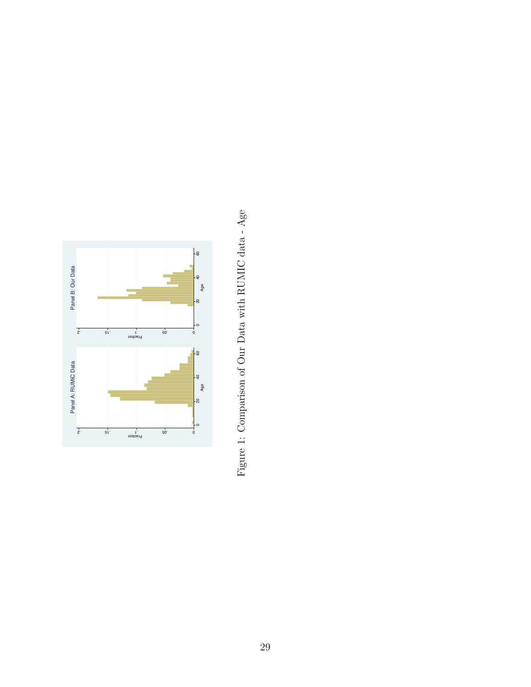

Figure 1: Comparison of Our Data with RUMIC data -  $\rm{Age}$ Figure 1: Comparison of Our Data with RUMIC data - Age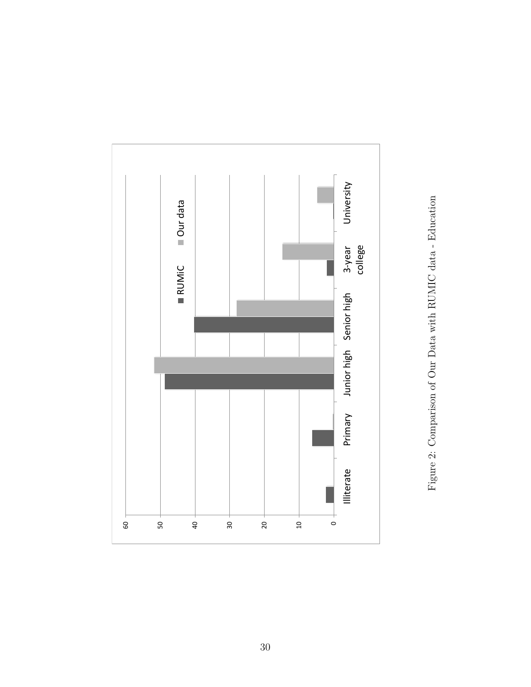

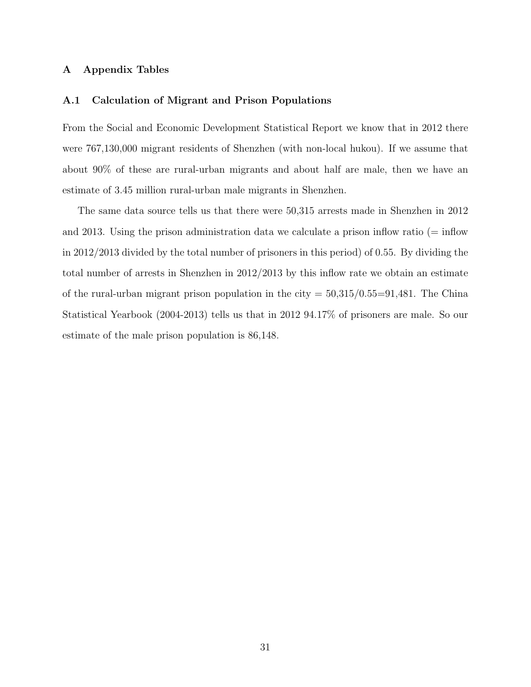#### A Appendix Tables

#### A.1 Calculation of Migrant and Prison Populations

From the Social and Economic Development Statistical Report we know that in 2012 there were 767,130,000 migrant residents of Shenzhen (with non-local hukou). If we assume that about 90% of these are rural-urban migrants and about half are male, then we have an estimate of 3.45 million rural-urban male migrants in Shenzhen.

The same data source tells us that there were 50,315 arrests made in Shenzhen in 2012 and 2013. Using the prison administration data we calculate a prison inflow ratio ( $=$  inflow in 2012/2013 divided by the total number of prisoners in this period) of 0.55. By dividing the total number of arrests in Shenzhen in 2012/2013 by this inflow rate we obtain an estimate of the rural-urban migrant prison population in the city  $= 50,315/0.55=91,481$ . The China Statistical Yearbook (2004-2013) tells us that in 2012 94.17% of prisoners are male. So our estimate of the male prison population is 86,148.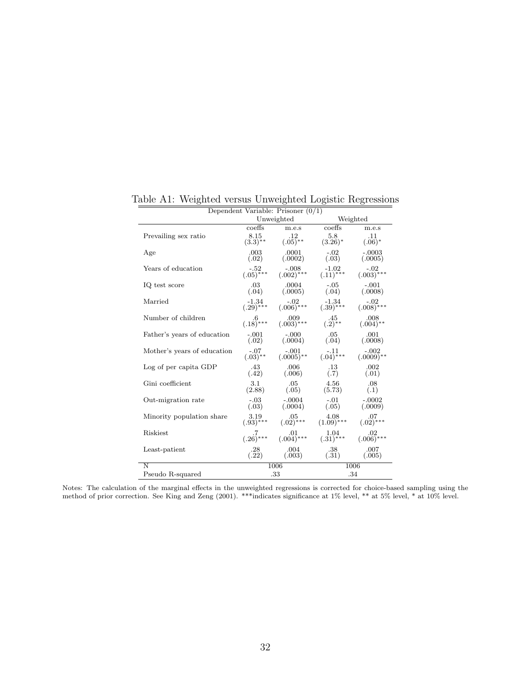| Dependent Variable: Prisoner $(0/1)$ |                            |                                                                                               |                                   |                      |
|--------------------------------------|----------------------------|-----------------------------------------------------------------------------------------------|-----------------------------------|----------------------|
|                                      |                            | Unweighted                                                                                    |                                   | Weighted             |
|                                      | coeffs                     | m.e.s                                                                                         | coeffs                            | m.e.s                |
| Prevailing sex ratio                 | $\substack{8.15\\(3.3)**}$ | $\frac{.12}{(.05)^{**}}$                                                                      | 5.8<br>$(3.26)^*$                 | .11<br>$(.06)^*$     |
| Age                                  | $.003\,$<br>(.02)          | .0001<br>(.0002)                                                                              | $-.02$<br>(.03)                   | $-.0003$<br>(.0005)  |
| Years of education                   | $-52$<br>$(.05)***$        | $(.002)$ ***                                                                                  | $\frac{-1.02}{(.11)^{***}}$       | $(.003)$ ***         |
| IQ test score                        | $\binom{03}{04}$           | $0.0004$<br>(.0005)                                                                           | $-0.05$<br>$(0.04)$               | $-.001$<br>(.0008)   |
| Married                              |                            | $-1.34$ $-0.02$ $-1.34$<br>$(.29)$ *** $(.006)$ *** $(.39)$ ***                               |                                   | $(.008)$ ***         |
| Number of children                   | $6^{6}$<br>(.18)***        | $009$<br>(.003)***                                                                            | $\frac{.45}{(.2)^{**}}$           | $008$<br>$(.004)$ ** |
| Father's years of education          | $-.001$                    | $-.000$<br>$(.02)$ $(.0004)$ $(.04)$ $(.0008)$                                                | $.05\,$                           | .001                 |
| Mother's years of education          |                            | $-.07$ $-.001$<br>$(.03)$ <sup>**</sup> $(.0005)$ <sup>**</sup>                               | $(.04)$ ***                       | $(.0009)$ **         |
| Log of per capita GDP                | .43<br>(.42)               | .006<br>(.006)                                                                                | $\binom{13}{7}$                   | .002<br>(.01)        |
| Gini coefficient                     | $3.1\,$<br>(2.88)          | $.05\,$<br>(.05)                                                                              | $4.56\,$<br>(5.73)                | .08<br>(.1)          |
| Out-migration rate                   | $-.03$                     | -.0004<br>$(.03)$ $(.0004)$ $(.05)$ $(.0009)$                                                 | $-.01$                            | $-.0002$             |
| Minority population share            | $3.19$<br>$(.93)***$       |                                                                                               | $(0.05$ $(1.09)$ *** $(1.09)$ *** | $07$<br>(.02)***     |
| Riskiest                             |                            | $\begin{array}{cccc} .7 & .01 & 1.04 \\ (.26)^{***} & (.004)^{***} & (.31)^{***} \end{array}$ |                                   | $.02$<br>(.006)***   |
| Least-patient                        | $\binom{.28}{.22}$         | (0.004)                                                                                       | $\binom{.38}{.31}$                | .007<br>(.005)       |
| N                                    |                            | 1006                                                                                          |                                   | 1006                 |
| Pseudo R-squared                     |                            | .33                                                                                           |                                   | .34                  |

Table A1: Weighted versus Unweighted Logistic Regressions

Notes: The calculation of the marginal effects in the unweighted regressions is corrected for choice-based sampling using the method of prior correction. See King and Zeng (2001). \*\*\*indicates significance at 1% level, \*\* at 5% level, \* at 10% level.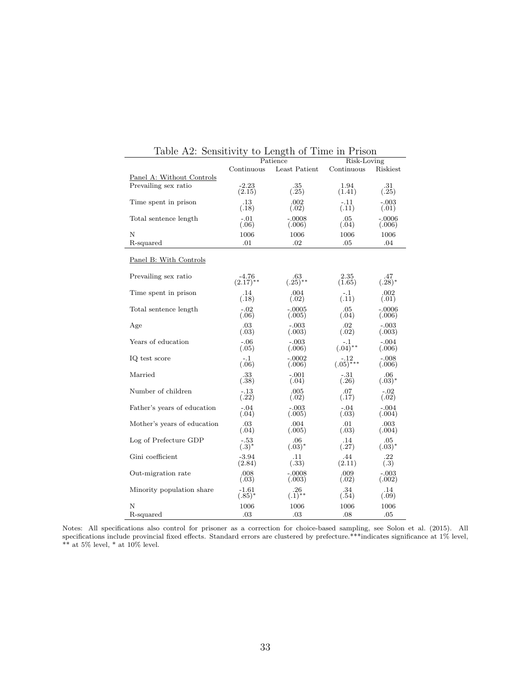| rapic 112. pensitivity      |                   | to notigen of Time in I Houn<br>Patience | Risk-Loving    |               |
|-----------------------------|-------------------|------------------------------------------|----------------|---------------|
|                             | Continuous        | Least Patient                            |                | Riskiest      |
|                             |                   |                                          | Continuous     |               |
| Panel A: Without Controls   |                   |                                          |                |               |
| Prevailing sex ratio        | $-2.23$<br>(2.15) | .35<br>(.25)                             | 1.94<br>(1.41) | .31<br>(.25)  |
|                             |                   |                                          |                |               |
| Time spent in prison        | .13               | .002                                     | $-.11$         | $-.003$       |
|                             | (.18)             | (.02)                                    | (.11)          | (.01)         |
| Total sentence length       | $-.01$            | $-.0008$                                 | .05            | $-.0006$      |
|                             | (.06)             | (.006)                                   | (.04)          | (.006)        |
| Ν                           | 1006              | 1006                                     | 1006           | 1006          |
| R-squared                   | .01               | .02                                      | .05            | .04           |
|                             |                   |                                          |                |               |
| Panel B: With Controls      |                   |                                          |                |               |
|                             |                   |                                          |                |               |
| Prevailing sex ratio        | $-4.76$           | .63                                      | 2.35           | .47           |
|                             | $(2.17)$ **       | $(.25)$ **                               | (1.65)         | $(.28)^*$     |
|                             |                   |                                          |                |               |
| Time spent in prison        | .14<br>(.18)      | .004<br>(.02)                            | $-.1$<br>(.11) | .002<br>(.01) |
|                             |                   |                                          |                |               |
| Total sentence length       | $-.02$            | $-.0005$                                 | .05            | $-.0006$      |
|                             | (.06)             | (.005)                                   | (.04)          | (.006)        |
| Age                         | $.03\,$           | $-.003$                                  | .02            | $-.003$       |
|                             | (.03)             | (.003)                                   | (.02)          | (.003)        |
| Years of education          | $-.06$            | $-.003$                                  | $(.04)$ **     | $-.004$       |
|                             | (.05)             | (.006)                                   |                | (.006)        |
| IQ test score               | $-.1$             | $-.0002$                                 |                | $-.008$       |
|                             | (.06)             | (.006)                                   | $(.05)$ ***    | (.006)        |
| Married                     | .33               | $-.001$                                  | $-31$          | .06           |
|                             | (.38)             | (.04)                                    | (.26)          | $(.03)^*$     |
| Number of children          | $-.13$            | .005                                     | .07            | $-.02$        |
|                             | (.22)             | (.02)                                    | (.17)          | (.02)         |
|                             | $-.04$            |                                          | $-.04$         | $-.004$       |
| Father's years of education | (.04)             | $-.003$<br>(.005)                        | (.03)          | (.004)        |
|                             |                   |                                          |                |               |
| Mother's years of education | .03               | .004                                     | .01            | .003          |
|                             | (.04)             | (.005)                                   | (.03)          | (.004)        |
| Log of Prefecture GDP       | $-.53$            | .06                                      | .14            | .05           |
|                             | $(.3)^*$          | $(.03)^*$                                | (.27)          | $(.03)^*$     |
| Gini coefficient            | $-3.94$           | .11                                      | .44            | .22           |
|                             | (2.84)            | (.33)                                    | (2.11)         | (.3)          |
| Out-migration rate          | .008              | $-.0008$                                 | .009           | $-.003$       |
|                             | (.03)             | (.003)                                   | (.02)          | (.002)        |
| Minority population share   | $-1.61$           | $.26\,$                                  | .34            | .14           |
|                             | $(.85)^*$         | $(.1)$ **                                | (.54)          | (.09)         |
| Ν                           | 1006              | 1006                                     | 1006           | 1006          |
|                             |                   |                                          |                |               |
| R-squared                   | .03               | .03                                      | .08            | .05           |

| Table A2: Sensitivity to Length of Time in Prison |  |  |  |
|---------------------------------------------------|--|--|--|
|                                                   |  |  |  |

Notes: All specifications also control for prisoner as a correction for choice-based sampling, see Solon et al. (2015). All specifications include provincial fixed effects. Standard errors are clustered by prefecture.\*\*\*indicates significance at 1% level,  $**$  at 5% level,  $*$  at 10% level.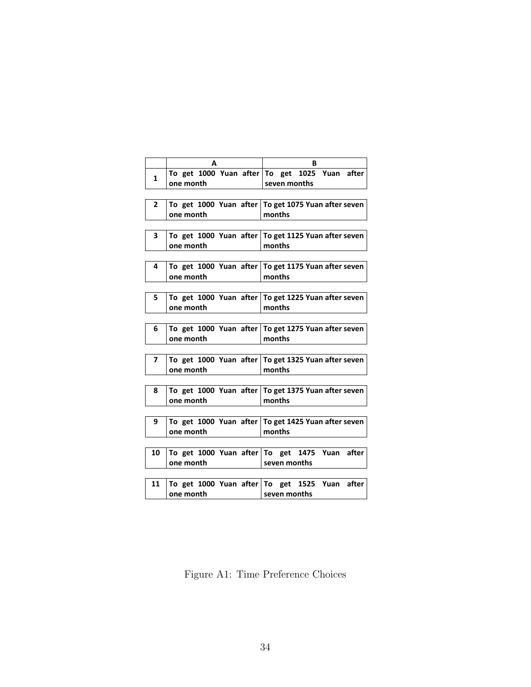|              | A                                   | в                                                               |
|--------------|-------------------------------------|-----------------------------------------------------------------|
| 1            | one month                           | To get 1000 Yuan after To get 1025 Yuan after<br>seven months   |
|              |                                     |                                                                 |
| $\mathbf{2}$ | one month                           | To get 1000 Yuan after To get 1075 Yuan after seven<br>months   |
|              |                                     |                                                                 |
| 3            | one month                           | To get 1000 Yuan after To get 1125 Yuan after seven<br>months   |
|              |                                     |                                                                 |
| 4            | one month                           | To get 1000 Yuan after   To get 1175 Yuan after seven<br>months |
|              |                                     |                                                                 |
| 5            | one month                           | To get 1000 Yuan after To get 1225 Yuan after seven<br>months   |
|              |                                     |                                                                 |
| 6            | one month                           | To get 1000 Yuan after To get 1275 Yuan after seven<br>months   |
|              |                                     |                                                                 |
| 7            | one month                           | To get 1000 Yuan after   To get 1325 Yuan after seven<br>months |
|              |                                     |                                                                 |
| 8            | one month                           | To get 1000 Yuan after To get 1375 Yuan after seven<br>months   |
|              |                                     |                                                                 |
| 9            | To get 1000 Yuan after<br>one month | To get 1425 Yuan after seven<br>months                          |
|              |                                     |                                                                 |
| 10           | one month                           | To get 1000 Yuan after To get 1475 Yuan after<br>seven months   |
|              |                                     |                                                                 |
| 11           | one month                           | To get 1000 Yuan after To get 1525 Yuan after<br>seven months   |
|              |                                     |                                                                 |

Figure A1: Time Preference Choices